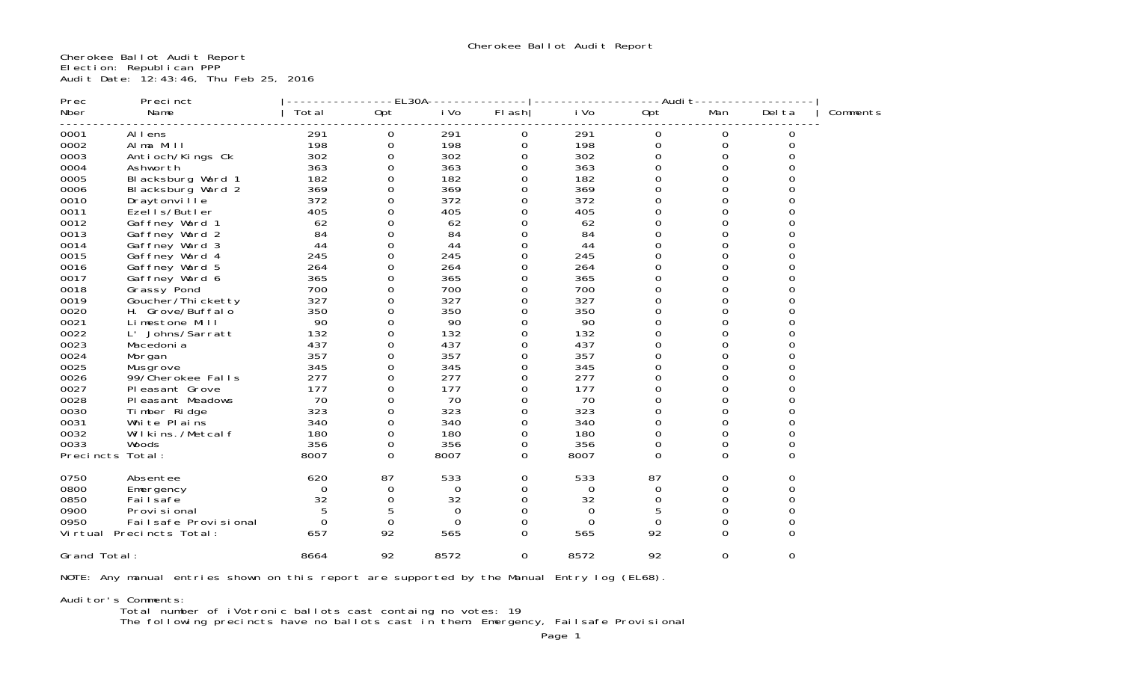Cherokee Ballot Audit Report Election: Republican PPP Audit Date: 12:43:46, Thu Feb 25, 2016

| Prec             | Precinct                 |          | EL30A            |          |          |          | -Audi t  |          |          |          |
|------------------|--------------------------|----------|------------------|----------|----------|----------|----------|----------|----------|----------|
| Nber             | Name                     | Total    | 0pt              | i Vo     | $FI$ ash | i Vo     | 0pt      | Man      | Del ta   | Comments |
| 0001             | Al I ens                 | 291      | 0                | 291      | 0        | 291      | 0        | 0        | 0        |          |
| 0002             | Alma Mill                | 198      | 0                | 198      | $\Omega$ | 198      | $\Omega$ | $\Omega$ | 0        |          |
| 0003             | Antioch/Kings Ck         | 302      | 0                | 302      | 0        | 302      | 0        | 0        | O        |          |
| 0004             | Ashworth                 | 363      | $\Omega$         | 363      | 0        | 363      | 0        | $\Omega$ |          |          |
| 0005             | Blacksburg Ward 1        | 182      | 0                | 182      | 0        | 182      | 0        | 0        |          |          |
| 0006             | Blacksburg Ward 2        | 369      | 0                | 369      | O        | 369      |          |          |          |          |
| 0010             | Draytonville             | 372      | 0                | 372      | $\Omega$ | 372      | Ω        |          |          |          |
| 0011             | Ezells/Butler            | 405      | 0                | 405      | 0        | 405      | 0        | 0        |          |          |
| 0012             | Gaffney Ward 1           | 62       | 0                | 62       | $\Omega$ | 62       | 0        | 0        |          |          |
| 0013             | Gaffney Ward 2           | 84       | $\boldsymbol{0}$ | 84       | 0        | 84       | 0        | 0        |          |          |
| 0014             | Gaffney Ward 3           | 44       | 0                | 44       | $\Omega$ | 44       | 0        | 0        |          |          |
| 0015             | Gaffney Ward 4           | 245      | 0                | 245      | 0        | 245      |          |          |          |          |
| 0016             | Gaffney Ward 5           | 264      | 0                | 264      | 0        | 264      | 0        | 0        |          |          |
| 0017             | Gaffney Ward 6           | 365      | 0                | 365      | 0        | 365      | 0        | 0        |          |          |
| 0018             | Grassy Pond              | 700      | 0                | 700      | O        | 700      | 0        | 0        |          |          |
| 0019             | Goucher/Thi cketty       | 327      | 0                | 327      | 0        | 327      | 0        | O        |          |          |
| 0020             | H. Grove/Buffalo         | 350      | 0                | 350      | $\Omega$ | 350      | $\Omega$ | O        |          |          |
| 0021             | Limestone Mill           | 90       | $\Omega$         | 90       | $\Omega$ | 90       | $\Omega$ | $\Omega$ |          |          |
| 0022             | L' Johns/Sarratt         | 132      | 0                | 132      | 0        | 132      | 0        | $\Omega$ |          |          |
| 0023             | Macedoni a               | 437      | 0                | 437      | $\Omega$ | 437      | 0        |          |          |          |
| 0024             | Morgan                   | 357      | $\Omega$         | 357      | 0        | 357      | O        | O        |          |          |
| 0025             | Musgrove                 | 345      | $\Omega$         | 345      | O        | 345      | 0        | 0        |          |          |
| 0026             | 99/Cherokee Falls        | 277      | 0                | 277      | 0        | 277      | $\Omega$ | 0        |          |          |
| 0027             | Pleasant Grove           | 177      | 0                | 177      | $\Omega$ | 177      | Ω        | 0        |          |          |
| 0028             | Pleasant Meadows         | 70       | $\Omega$         | 70       | 0        | 70       | 0        | 0        |          |          |
| 0030             | Timber Ridge             | 323      | 0                | 323      | $\Omega$ | 323      | 0        | 0        | O        |          |
| 0031             | White Plains             | 340      | 0                | 340      | $\Omega$ | 340      | 0        | $\Omega$ |          |          |
| 0032             | Wilkins./Metcalf         | 180      | 0                | 180      | 0        | 180      | $\Omega$ | 0        |          |          |
| 0033             | Woods                    | 356      | 0                | 356      | 0        | 356      | 0        | 0        |          |          |
| Precincts Total: |                          | 8007     | 0                | 8007     | 0        | 8007     | $\Omega$ | 0        | 0        |          |
| 0750             | Absentee                 | 620      | 87               | 533      | 0        | 533      | 87       | 0        | 0        |          |
| 0800             | Emergency                | 0        | 0                | $\Omega$ | 0        | 0        | 0        | 0        | 0        |          |
| 0850             | Fai I safe               | 32       | $\boldsymbol{0}$ | 32       | 0        | 32       | $\Omega$ | $\Omega$ |          |          |
| 0900             | Provi si onal            | 5        | 5                | $\Omega$ | $\Omega$ | $\Omega$ | 5        | $\Omega$ | 0        |          |
| 0950             | Failsafe Provisional     | $\Omega$ | $\mathbf 0$      | $\Omega$ | $\Omega$ | $\Omega$ | 0        | 0        |          |          |
|                  | Virtual Precincts Total: | 657      | 92               | 565      | $\Omega$ | 565      | 92       | $\Omega$ | $\Omega$ |          |
| Grand Total:     |                          | 8664     | 92               | 8572     | 0        | 8572     | 92       | 0        | 0        |          |

NOTE: Any manual entries shown on this report are supported by the Manual Entry log (EL68).

Auditor's Comments:

Total number of iVotronic ballots cast containg no votes: 19

The following precincts have no ballots cast in them: Emergency, Failsafe Provisional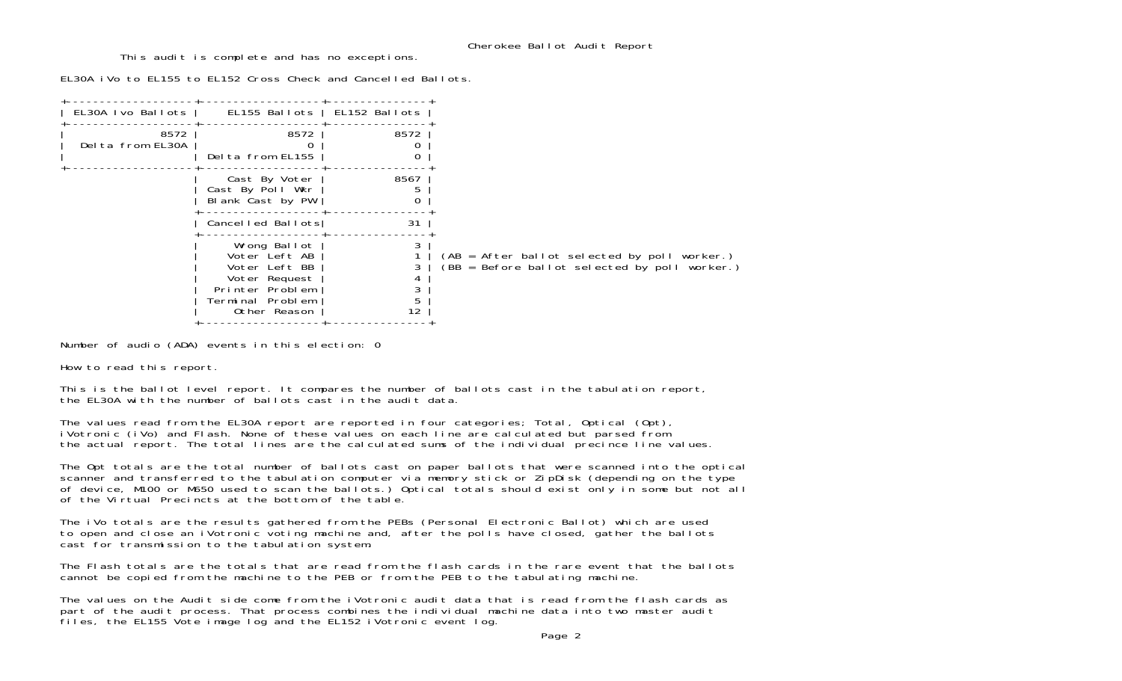This audit is complete and has no exceptions.

EL30A iVo to EL155 to EL152 Cross Check and Cancelled Ballots.

| 8572<br>Delta from EL30A | 8572<br>Delta from EL155                                                                                               | 8572              |                                                                                                   |
|--------------------------|------------------------------------------------------------------------------------------------------------------------|-------------------|---------------------------------------------------------------------------------------------------|
|                          | Cast By Voter<br>Cast By Poll Wkr<br>Blank Cast by PW                                                                  | 8567              |                                                                                                   |
|                          |                                                                                                                        | 31                |                                                                                                   |
|                          | Wrong Ballot<br>Voter Left AB<br>Voter Left BB<br>Voter Request<br>Printer Problem<br>Terminal Problem<br>Other Reason | 5<br>12           | $(AB = After ballot selected by poll worker.)$<br>$(BB = Before ballot selected by poll worker.)$ |
|                          |                                                                                                                        | EL30A Ivo Ballots | EL155 Ballots   EL152 Ballots<br>Cancelled Ballots                                                |

Number of audio (ADA) events in this election: 0

How to read this report.

This is the ballot level report. It compares the number of ballots cast in the tabulation report, the EL30A with the number of ballots cast in the audit data.

The values read from the EL30A report are reported in four categories; Total, Optical (Opt), iVotronic (iVo) and Flash. None of these values on each line are calculated but parsed from the actual report. The total lines are the calculated sums of the individual precince line values.

The Opt totals are the total number of ballots cast on paper ballots that were scanned into the optical scanner and transferred to the tabulation computer via memory stick or ZipDisk (depending on the type of device, M100 or M650 used to scan the ballots.) Optical totals should exist only in some but not all of the Virtual Precincts at the bottom of the table.

The iVo totals are the results gathered from the PEBs (Personal Electronic Ballot) which are used to open and close an iVotronic voting machine and, after the polls have closed, gather the ballots cast for transmission to the tabulation system.

The Flash totals are the totals that are read from the flash cards in the rare event that the ballots cannot be copied from the machine to the PEB or from the PEB to the tabulating machine.

The values on the Audit side come from the iVotronic audit data that is read from the flash cards as part of the audit process. That process combines the individual machine data into two master audit files, the EL155 Vote image log and the EL152 iVotronic event log.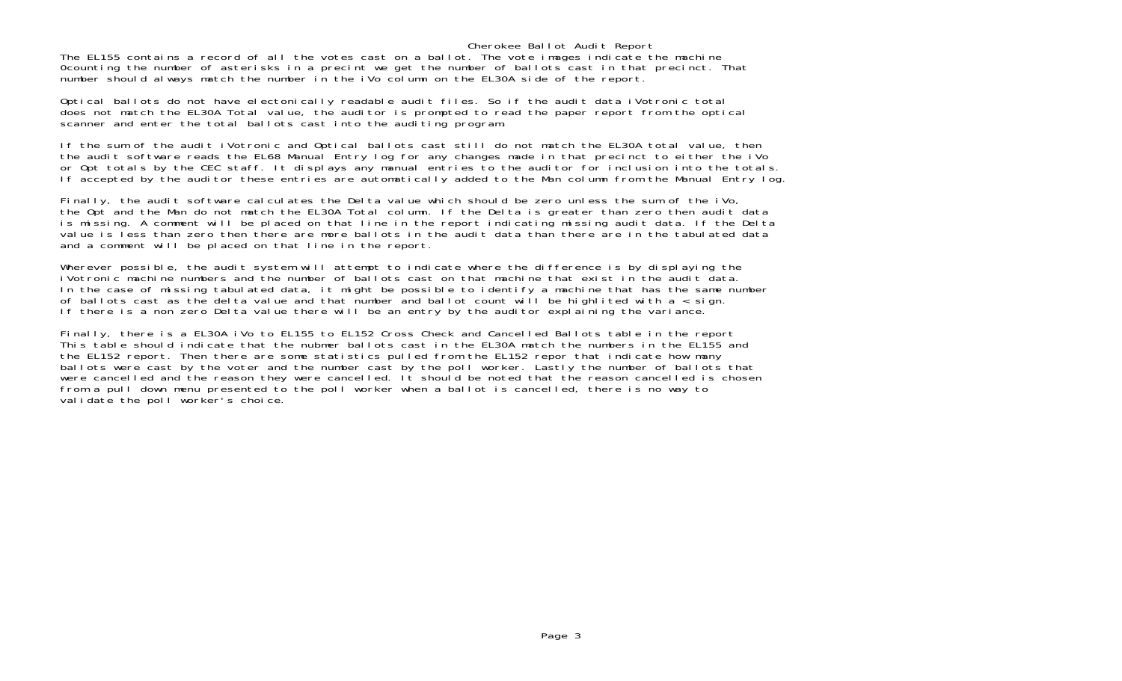### Cherokee Ballot Audit Report

The EL155 contains a record of all the votes cast on a ballot. The vote images indicate the machine 0counting the number of asterisks in a precint we get the number of ballots cast in that precinct. That number should always match the number in the iVo column on the EL30A side of the report.

Optical ballots do not have electonically readable audit files. So if the audit data iVotronic total does not match the EL30A Total value, the auditor is prompted to read the paper report from the optical scanner and enter the total ballots cast into the auditing program.

If the sum of the audit iVotronic and Optical ballots cast still do not match the EL30A total value, then the audit software reads the EL68 Manual Entry log for any changes made in that precinct to either the iVo or Opt totals by the CEC staff. It displays any manual entries to the auditor for inclusion into the totals. If accepted by the auditor these entries are automatically added to the Man column from the Manual Entry log.

Finally, the audit software calculates the Delta value which should be zero unless the sum of the iVo, the Opt and the Man do not match the EL30A Total column. If the Delta is greater than zero then audit data is missing. A comment will be placed on that line in the report indicating missing audit data. If the Delta value is less than zero then there are more ballots in the audit data than there are in the tabulated data and a comment will be placed on that line in the report.

Wherever possible, the audit system will attempt to indicate where the difference is by displaying the iVotronic machine numbers and the number of ballots cast on that machine that exist in the audit data.In the case of missing tabulated data, it might be possible to identify a machine that has the same number of ballots cast as the delta value and that number and ballot count will be highlited with  $a <$  sign. If there is a non zero Delta value there will be an entry by the auditor explaining the variance.

Finally, there is a EL30A iVo to EL155 to EL152 Cross Check and Cancelled Ballots table in the report This table should indicate that the nubmer ballots cast in the EL30A match the numbers in the EL155 and the EL152 report. Then there are some statistics pulled from the EL152 repor that indicate how many ballots were cast by the voter and the number cast by the poll worker. Lastly the number of ballots that were cancelled and the reason they were cancelled. It should be noted that the reason cancelled is chosen from a pull down menu presented to the poll worker when a ballot is cancelled, there is no way to validate the poll worker's choice.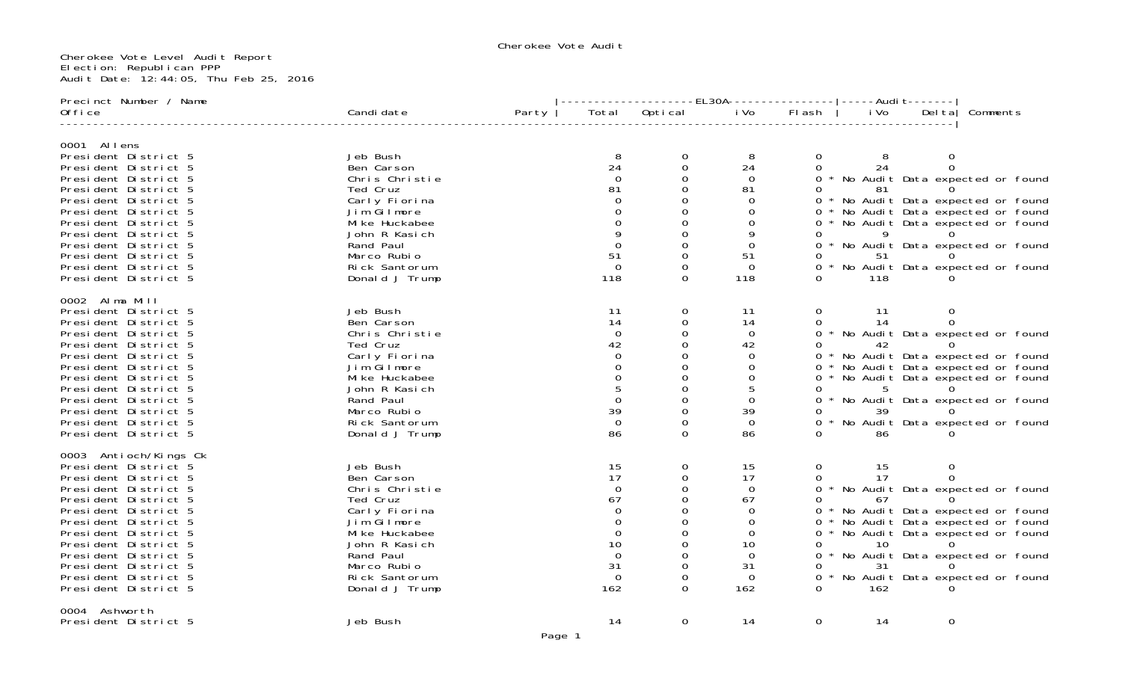Cherokee Vote Audit

#### Cherokee Vote Level Audit Report Election: Republican PPP Audit Date: 12:44:05, Thu Feb 25, 2016

| Precinct Number / Name                                                                                                                                                                                                                                                                                                |                                                                                                                                                                                        |       |                                                                                             |                           |                                                                                                                 |                                        |                                   |                        |                                                                                                                                                                                                                                        |  |
|-----------------------------------------------------------------------------------------------------------------------------------------------------------------------------------------------------------------------------------------------------------------------------------------------------------------------|----------------------------------------------------------------------------------------------------------------------------------------------------------------------------------------|-------|---------------------------------------------------------------------------------------------|---------------------------|-----------------------------------------------------------------------------------------------------------------|----------------------------------------|-----------------------------------|------------------------|----------------------------------------------------------------------------------------------------------------------------------------------------------------------------------------------------------------------------------------|--|
| Office                                                                                                                                                                                                                                                                                                                | Candi date                                                                                                                                                                             | Party | Total                                                                                       | Optical                   | i Vo                                                                                                            | FI ash                                 | i Vo                              | Del ta $ $             | Comments                                                                                                                                                                                                                               |  |
| 0001 Allens<br>President District 5<br>President District 5<br>President District 5<br>President District 5<br>President District 5<br>President District 5<br>President District 5<br>President District 5<br>President District 5<br>President District 5<br>President District 5<br>President District 5           | Jeb Bush<br>Ben Carson<br>Chris Christie<br>Ted Cruz<br>Carly Fiorina<br>Jim Gilmore<br>Mi ke Huckabee<br>John R Kasich<br>Rand Paul<br>Marco Rubio<br>Rick Santorum<br>Donald J Trump |       | 8<br>24<br>81<br>51<br>$\Omega$<br>118                                                      | 0<br>0<br>$\Omega$        | 8<br>24<br>0<br>81<br>0<br>0<br>9<br>$\Omega$<br>51<br>$\Omega$<br>118                                          | $\overline{0}$<br>$\Omega$<br>0        | 8<br>24<br>-81<br>9<br>118        | 51 0                   | 0 * No Audit Data expected or found<br>0 * No Audit Data expected or found<br>0 * No Audit Data expected or found<br>0 * No Audit Data expected or found<br>0 * No Audit Data expected or found<br>0 * No Audit Data expected or found |  |
| 0002 Alma Mill<br>President District 5<br>President District 5<br>President District 5<br>President District 5<br>President District 5<br>President District 5<br>President District 5<br>President District 5<br>President District 5<br>President District 5<br>President District 5<br>President District 5        | Jeb Bush<br>Ben Carson<br>Chris Christie<br>Ted Cruz<br>Carly Fiorina<br>Jim Gilmore<br>Mi ke Huckabee<br>John R Kasich<br>Rand Paul<br>Marco Rubio<br>Rick Santorum<br>Donald J Trump |       | 11<br>14<br>$\Omega$<br>42<br>$\Omega$<br>39<br>$\Omega$<br>86                              | 0<br>$\Omega$<br>$\Omega$ | 11<br>14<br>$\mathbf 0$<br>42<br>$\Omega$<br>0<br>0<br>5<br>0<br>39<br>$\Omega$<br>86                           | $\overline{0}$<br>$\Omega$<br>$\Omega$ | - 11<br>14<br>42<br>5<br>86.      | $\overline{0}$<br>39 0 | 0 * No Audit Data expected or found<br>* No Audit Data expected or found<br>0 * No Audit Data expected or found<br>0 * No Audit Data expected or found<br>0 * No Audit Data expected or found<br>0 * No Audit Data expected or found   |  |
| 0003 Antioch/Kings Ck<br>President District 5<br>President District 5<br>President District 5<br>President District 5<br>President District 5<br>President District 5<br>President District 5<br>President District 5<br>President District 5<br>President District 5<br>President District 5<br>President District 5 | Jeb Bush<br>Ben Carson<br>Chris Christie<br>Ted Cruz<br>Carly Fiorina<br>Jim Gilmore<br>Mi ke Huckabee<br>John R Kasich<br>Rand Paul<br>Marco Rubio<br>Rick Santorum<br>Donald J Trump |       | 15<br>17<br>$\Omega$<br>67<br>0<br>$\Omega$<br>0<br>10<br>$\Omega$<br>31<br>$\Omega$<br>162 | $\Omega$<br>0             | 15<br>17<br>$\mathbf 0$<br>67<br>$\Omega$<br>$\mathbf 0$<br>$\Omega$<br>10<br>$\Omega$<br>31<br>$\Omega$<br>162 | $\mathbf{O}$<br>0<br>0                 | 15<br>17<br>67<br>10<br>31<br>162 | $\overline{0}$         | 0 * No Audit Data expected or found<br>0 * No Audit Data expected or found<br>0 * No Audit Data expected or found<br>0 * No Audit Data expected or found<br>* No Audit Data expected or found<br>0 * No Audit Data expected or found   |  |
| 0004 Ashworth<br>President District 5                                                                                                                                                                                                                                                                                 | Jeb Bush                                                                                                                                                                               |       | 14                                                                                          | $\mathbf 0$               | 14                                                                                                              | $\mathbf 0$                            | 14                                | $\mathbf 0$            |                                                                                                                                                                                                                                        |  |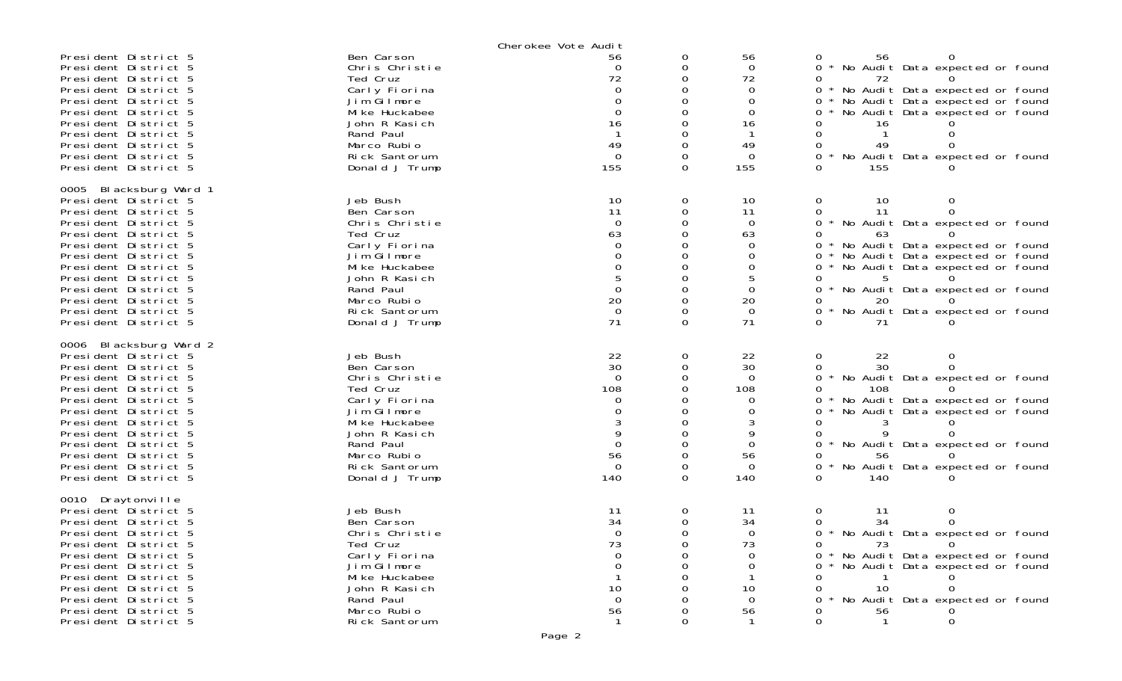|                                                                                                                                                                                                                                                                                                                        |                                                                                                                                                                                        | Cherokee Vote Audit                                                                       |                                                                |                                                                                     |                                                                                                                                                                                                                                                                                                                                               |
|------------------------------------------------------------------------------------------------------------------------------------------------------------------------------------------------------------------------------------------------------------------------------------------------------------------------|----------------------------------------------------------------------------------------------------------------------------------------------------------------------------------------|-------------------------------------------------------------------------------------------|----------------------------------------------------------------|-------------------------------------------------------------------------------------|-----------------------------------------------------------------------------------------------------------------------------------------------------------------------------------------------------------------------------------------------------------------------------------------------------------------------------------------------|
| President District 5<br>President District 5<br>President District 5<br>President District 5<br>President District 5<br>President District 5<br>President District 5<br>President District 5<br>President District 5<br>President District 5<br>President District 5                                                   | Ben Carson<br>Chris Christie<br>Ted Cruz<br>Carly Fiorina<br>Jim Gilmore<br>Mi ke Huckabee<br>John R Kasich<br>Rand Paul<br>Marco Rubio<br>Rick Santorum<br>Donald J Trump             | 56<br>$\Omega$<br>72<br>0<br>0<br>$\Omega$<br>16<br>49<br>$\mathbf 0$<br>155              | 0<br>0<br>O<br>0<br>$\Omega$<br>O<br>$\Omega$<br>0<br>$\Omega$ | 56<br>$\Omega$<br>72<br>$\mathbf 0$<br>0<br>$\Omega$<br>16<br>49<br>$\Omega$<br>155 | 0<br>56<br>No Audit Data expected or found<br>0<br>72<br>0<br>No Audit Data expected or found<br>$0 *$<br>No Audit Data expected or found<br>0<br>No Audit Data expected or found<br>0.<br>16<br>0<br>49<br>0<br>$0 *$<br>No Audit Data expected or found<br>0<br>155                                                                         |
| 0005 Blacksburg Ward 1<br>President District 5<br>President District 5<br>President District 5<br>President District 5<br>President District 5<br>President District 5<br>President District 5<br>President District 5<br>President District 5<br>President District 5<br>President District 5<br>President District 5 | Jeb Bush<br>Ben Carson<br>Chris Christie<br>Ted Cruz<br>Carly Fiorina<br>Jim Gilmore<br>Mi ke Huckabee<br>John R Kasich<br>Rand Paul<br>Marco Rubio<br>Rick Santorum<br>Donald J Trump | 10<br>11<br>$\Omega$<br>63<br>$\Omega$<br>$\Omega$<br>$\Omega$<br>20<br>$\mathbf 0$<br>71 | 0<br>0<br>O<br>0<br>0<br>0<br>O<br>0<br>0<br>$\Omega$          | 10<br>11<br>$\mathbf 0$<br>63<br>$\Omega$<br>0<br>0<br>0<br>20<br>$\mathbf 0$<br>71 | 0<br>10<br>0<br>11<br>$\Omega$<br>0<br>0<br>$\star$<br>No Audit Data expected or found<br>0<br>63<br>No Audit Data expected or found<br>$0 *$<br>No Audit Data expected or found<br>0<br>No Audit Data expected or found<br>0<br>5<br>0<br>No Audit Data expected or found<br>0<br>0<br>$\star$<br>No Audit Data expected or found<br>0<br>71 |
| 0006 Blacksburg Ward 2<br>President District 5<br>President District 5<br>President District 5<br>President District 5<br>President District 5<br>President District 5<br>President District 5<br>President District 5<br>President District 5<br>President District 5<br>President District 5<br>President District 5 | Jeb Bush<br>Ben Carson<br>Chris Christie<br>Ted Cruz<br>Carly Fiorina<br>Jim Gilmore<br>Mi ke Huckabee<br>John R Kasich<br>Rand Paul<br>Marco Rubio<br>Rick Santorum<br>Donald J Trump | 22<br>30<br>$\Omega$<br>108<br>0<br>9<br>$\mathbf 0$<br>56<br>$\Omega$<br>140             | 0<br>0<br>$\Omega$<br>0<br>0<br>0<br>0<br>O<br>0               | 22<br>30<br>$\Omega$<br>108<br>0<br>0<br>9<br>$\Omega$<br>56<br>$\Omega$<br>140     | 0<br>22<br>0<br>30<br>0<br>0<br>No Audit Data expected or found<br>0<br>108<br>No Audit Data expected or found<br>0<br>No Audit Data expected or found<br>0<br>0<br>0<br>No Audit Data expected or found<br>0<br>56<br>No Audit Data expected or found<br>0<br>$\Omega$<br>140                                                                |
| 0010 Draytonville<br>President District 5<br>President District 5<br>President District 5<br>President District 5<br>President District 5<br>President District 5<br>President District 5<br>President District 5<br>President District 5<br>President District 5<br>President District 5                              | Jeb Bush<br>Ben Carson<br>Chris Christie<br>Ted Cruz<br>Carly Fiorina<br>Jim Gilmore<br>Mi ke Huckabee<br>John R Kasich<br>Rand Paul<br>Marco Rubio<br>Rick Santorum                   | 11<br>34<br>$\Omega$<br>73<br>10<br>$\Omega$<br>56<br>-1                                  | 0<br>$\Omega$<br><sup>n</sup><br>0                             | 11<br>34<br>$\Omega$<br>73<br>0<br>10<br>$\Omega$<br>56<br>-1                       | 0<br>0<br>11<br>34<br>0<br>0<br>0 * No Audit Data expected or found<br>73<br>0<br>$\Omega$<br>No Audit Data expected or found<br>0.<br>No Audit Data expected or found<br>0<br>10<br>0<br>No Audit Data expected or found<br>56<br>0<br>$\mathbf{1}$<br>0                                                                                     |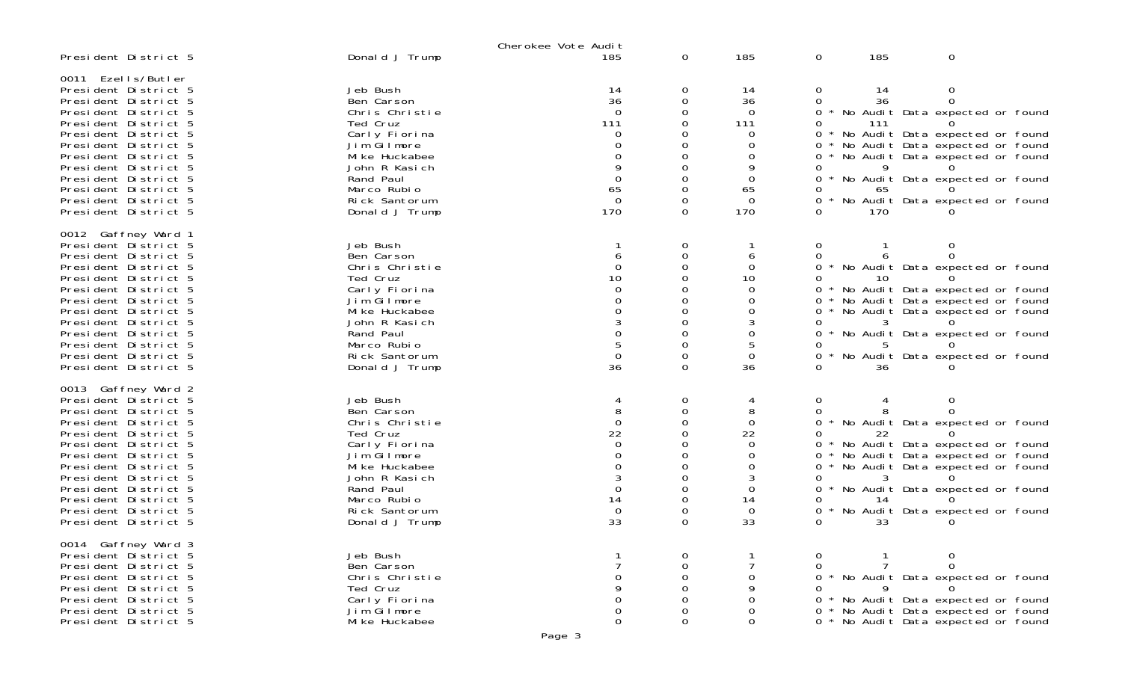|                                                                                                                                                                                                                                                                                                                     |                                                                                                                                                                                        | Cherokee Vote Audit                                               |                    |                                                                                    |                                                                    |                                                                                                                                                                                                                                  |
|---------------------------------------------------------------------------------------------------------------------------------------------------------------------------------------------------------------------------------------------------------------------------------------------------------------------|----------------------------------------------------------------------------------------------------------------------------------------------------------------------------------------|-------------------------------------------------------------------|--------------------|------------------------------------------------------------------------------------|--------------------------------------------------------------------|----------------------------------------------------------------------------------------------------------------------------------------------------------------------------------------------------------------------------------|
| President District 5                                                                                                                                                                                                                                                                                                | Donald J Trump                                                                                                                                                                         | 185                                                               | 0                  | 185                                                                                | 185<br>$\mathbf{O}$                                                | 0                                                                                                                                                                                                                                |
| 0011 Ezells/Butler<br>President District 5<br>President District 5<br>President District 5<br>President District 5<br>President District 5<br>President District 5<br>President District 5<br>President District 5<br>President District 5<br>President District 5<br>President District 5<br>President District 5  | Jeb Bush<br>Ben Carson<br>Chris Christie<br>Ted Cruz<br>Carly Fiorina<br>Jim Gilmore<br>Mi ke Huckabee<br>John R Kasich<br>Rand Paul<br>Marco Rubio<br>Rick Santorum<br>Donald J Trump | 14<br>36<br>111<br>O<br>65<br>$\Omega$<br>170                     | O<br>0<br>0        | 14<br>36<br>0<br>111<br>0<br>O<br>0<br>9<br>$\Omega$<br>65<br>$\Omega$<br>170      | 14<br>$\sigma$<br>36<br>111<br>0<br>0<br>65<br>170                 | 0<br>* No Audit Data expected or found<br>* No Audit Data expected or found<br>* No Audit Data expected or found<br>No Audit Data expected or found<br>No Audit Data expected or found<br>No Audit Data expected or found        |
| 0012 Gaffney Ward 1<br>President District 5<br>President District 5<br>President District 5<br>President District 5<br>President District 5<br>President District 5<br>President District 5<br>President District 5<br>President District 5<br>President District 5<br>President District 5<br>President District 5 | Jeb Bush<br>Ben Carson<br>Chris Christie<br>Ted Cruz<br>Carly Fiorina<br>Jim Gilmore<br>Mi ke Huckabee<br>John R Kasich<br>Rand Paul<br>Marco Rubio<br>Rick Santorum<br>Donald J Trump | 6<br>$\Omega$<br>10<br>5<br>$\Omega$<br>36                        | 0<br>0<br>0<br>0   | 6<br>0<br>10<br>0<br>0<br>3<br>0<br>5<br>0<br>36                                   | 0<br>0<br>10<br>0<br>0<br>3<br>$\star$<br>36                       | * No Audit Data expected or found<br>* No Audit Data expected or found<br>* No Audit Data expected or found<br>No Audit Data expected or found<br>* No Audit Data expected or found<br>No Audit Data expected or found           |
| 0013 Gaffney Ward 2<br>President District 5<br>President District 5<br>President District 5<br>President District 5<br>President District 5<br>President District 5<br>President District 5<br>President District 5<br>President District 5<br>President District 5<br>President District 5<br>President District 5 | Jeb Bush<br>Ben Carson<br>Chris Christie<br>Ted Cruz<br>Carly Fiorina<br>Jim Gilmore<br>Mi ke Huckabee<br>John R Kasich<br>Rand Paul<br>Marco Rubio<br>Rick Santorum<br>Donald J Trump | 4<br>8<br>$\Omega$<br>22<br>$\Omega$<br>0<br>14<br>$\Omega$<br>33 | 0<br>0<br>$\Omega$ | 4<br>8<br>$\mathbf 0$<br>22<br>0<br>0<br>0<br>3<br>0<br>14<br>$\overline{0}$<br>33 | 0<br>0<br>$\star$<br>22<br>0<br>0<br>3<br>14<br>$\star$<br>0<br>33 | $\Omega$<br>No Audit Data expected or found<br>* No Audit Data expected or found<br>* No Audit Data expected or found<br>* No Audit Data expected or found<br>No Audit Data expected or found<br>No Audit Data expected or found |
| 0014 Gaffney Ward 3<br>President District 5<br>President District 5<br>President District 5<br>President District 5<br>President District 5<br>President District 5<br>President District 5                                                                                                                         | Jeb Bush<br>Ben Carson<br>Chris Christie<br>Ted Cruz<br>Carly Fiorina<br>Jim Gilmore<br>Mi ke Huckabee                                                                                 | 0<br>0                                                            | 0<br>$\Omega$      | 0<br>9<br>0<br>0<br>$\mathbf 0$                                                    | 0                                                                  | 0<br>* No Audit Data expected or found<br>* No Audit Data expected or found<br>* No Audit Data expected or found<br>0 * No Audit Data expected or found                                                                          |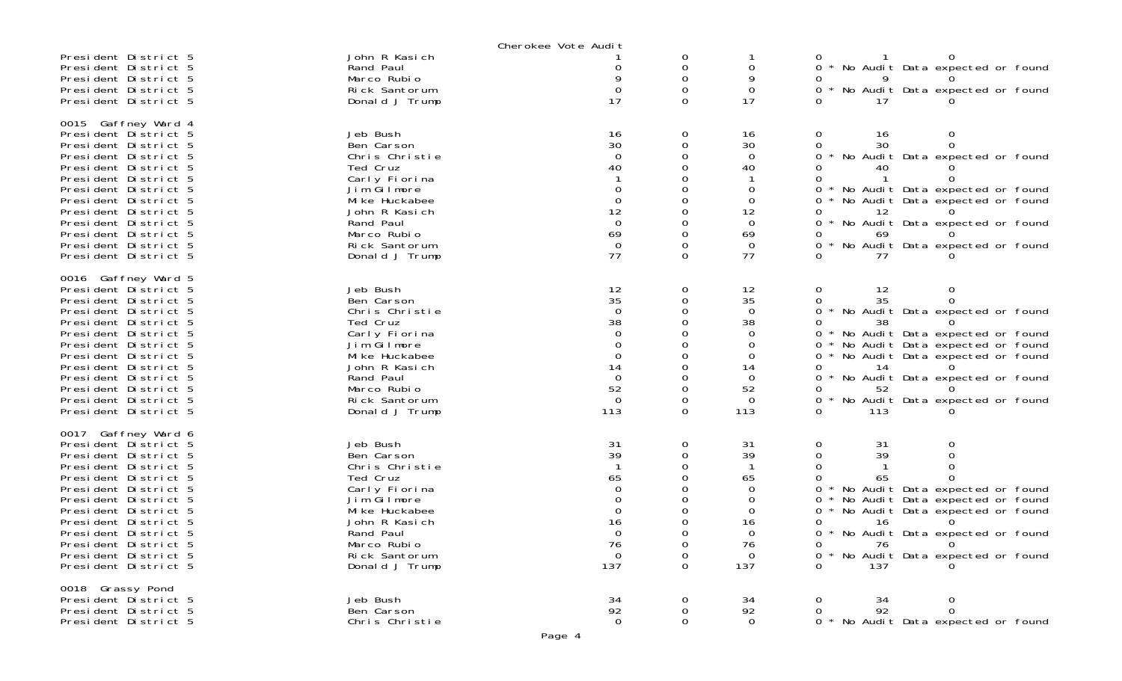|                                                                                                                                                                                                                                                                                                                     |                                                                                                                                                                                        | Cherokee Vote Audit                                                                                             |                                               |                                                                                                                 |                                                                                                                                                                                                                                                                                                                  |
|---------------------------------------------------------------------------------------------------------------------------------------------------------------------------------------------------------------------------------------------------------------------------------------------------------------------|----------------------------------------------------------------------------------------------------------------------------------------------------------------------------------------|-----------------------------------------------------------------------------------------------------------------|-----------------------------------------------|-----------------------------------------------------------------------------------------------------------------|------------------------------------------------------------------------------------------------------------------------------------------------------------------------------------------------------------------------------------------------------------------------------------------------------------------|
| President District 5<br>President District 5<br>President District 5<br>President District 5<br>President District 5                                                                                                                                                                                                | John R Kasich<br>Rand Paul<br>Marco Rubio<br>Rick Santorum<br>Donald J Trump                                                                                                           | 0<br>17                                                                                                         | 0<br>0<br>0<br>$\Omega$<br>$\Omega$           | 0<br>9<br>$\mathbf 0$<br>17                                                                                     | * No Audit Data expected or found<br>$\Omega$<br>* No Audit Data expected or found<br>$\Omega$<br>17                                                                                                                                                                                                             |
| 0015 Gaffney Ward 4<br>President District 5<br>President District 5<br>President District 5<br>President District 5<br>President District 5<br>President District 5<br>President District 5<br>President District 5<br>President District 5<br>President District 5<br>President District 5<br>President District 5 | Jeb Bush<br>Ben Carson<br>Chris Christie<br>Ted Cruz<br>Carly Fiorina<br>Jim Gilmore<br>Mi ke Huckabee<br>John R Kasich<br>Rand Paul<br>Marco Rubio<br>Rick Santorum<br>Donald J Trump | 16<br>30<br>$\Omega$<br>40<br>0<br>$\Omega$<br>12<br>$\overline{0}$<br>69<br>$\Omega$<br>77                     | 0<br>0<br>0<br>$\Omega$<br>0<br>0<br>$\Omega$ | 16<br>30<br>$\Omega$<br>40<br>0<br>$\Omega$<br>12<br>$\Omega$<br>69<br>$\Omega$<br>77                           | 0<br>16<br>0<br>30<br>* No Audit Data expected or found<br>0<br>40<br>* No Audit Data expected or found<br>0<br>No Audit Data expected or found<br>12<br>No Audit Data expected or found<br>0<br>69<br>No Audit Data expected or found<br><sup>n</sup><br>77                                                     |
| 0016 Gaffney Ward 5<br>President District 5<br>President District 5<br>President District 5<br>President District 5<br>President District 5<br>President District 5<br>President District 5<br>President District 5<br>President District 5<br>President District 5<br>President District 5<br>President District 5 | Jeb Bush<br>Ben Carson<br>Chris Christie<br>Ted Cruz<br>Carly Fiorina<br>Jim Gilmore<br>Mi ke Huckabee<br>John R Kasich<br>Rand Paul<br>Marco Rubio<br>Rick Santorum<br>Donald J Trump | 12<br>35<br>$\Omega$<br>38<br>$\Omega$<br>$\Omega$<br>$\Omega$<br>14<br>$\Omega$<br>52<br>$\overline{0}$<br>113 | 0<br>0<br>$\Omega$<br>$\Omega$<br>$\Omega$    | 12<br>35<br>$\overline{0}$<br>38<br>$\Omega$<br>$\Omega$<br>$\Omega$<br>14<br>$\Omega$<br>52<br>$\Omega$<br>113 | 0<br>12<br>0<br>35<br>0<br>No Audit Data expected or found<br>$\Omega$<br>38<br>No Audit Data expected or found<br>No Audit Data expected or found<br>0<br>No Audit Data expected or found<br>0<br>14<br>No Audit Data expected or found<br>$\Omega$<br>52<br>No Audit Data expected or found<br>113<br>$\Omega$ |
| 0017 Gaffney Ward 6<br>President District 5<br>President District 5<br>President District 5<br>President District 5<br>President District 5<br>President District 5<br>President District 5<br>President District 5<br>President District 5<br>President District 5<br>President District 5<br>President District 5 | Jeb Bush<br>Ben Carson<br>Chris Christie<br>Ted Cruz<br>Carly Fiorina<br>Jim Gilmore<br>Mi ke Huckabee<br>John R Kasich<br>Rand Paul<br>Marco Rubio<br>Rick Santorum<br>Donald J Trump | 31<br>39<br>65<br>$\Omega$<br>16<br>$\cap$<br>76<br>$\mathbf 0$<br>137                                          | 0<br>0<br>0<br>0<br>0                         | 31<br>39<br>65<br>0<br>0<br>0<br>16<br>$\cap$<br>76<br>$\overline{0}$<br>137                                    | 0<br>31<br>0<br>39<br>0<br>0<br>No Audit Data expected or found<br>No Audit Data expected or found<br>No Audit Data expected or found<br>16<br>0 * No Audit Data expected or found<br>76<br>$\Omega$<br>0<br>* No Audit Data expected or found<br>$\Omega$<br>137<br>$\Omega$                                    |
| 0018 Grassy Pond<br>President District 5<br>President District 5<br>President District 5                                                                                                                                                                                                                            | Jeb Bush<br>Ben Carson<br>Chris Christie                                                                                                                                               | 34<br>92<br>$\overline{0}$                                                                                      | 0<br>0<br>0                                   | 34<br>92<br>$\overline{0}$                                                                                      | 0<br>0<br>34<br>92<br>$\Omega$<br>0<br>* No Audit Data expected or found                                                                                                                                                                                                                                         |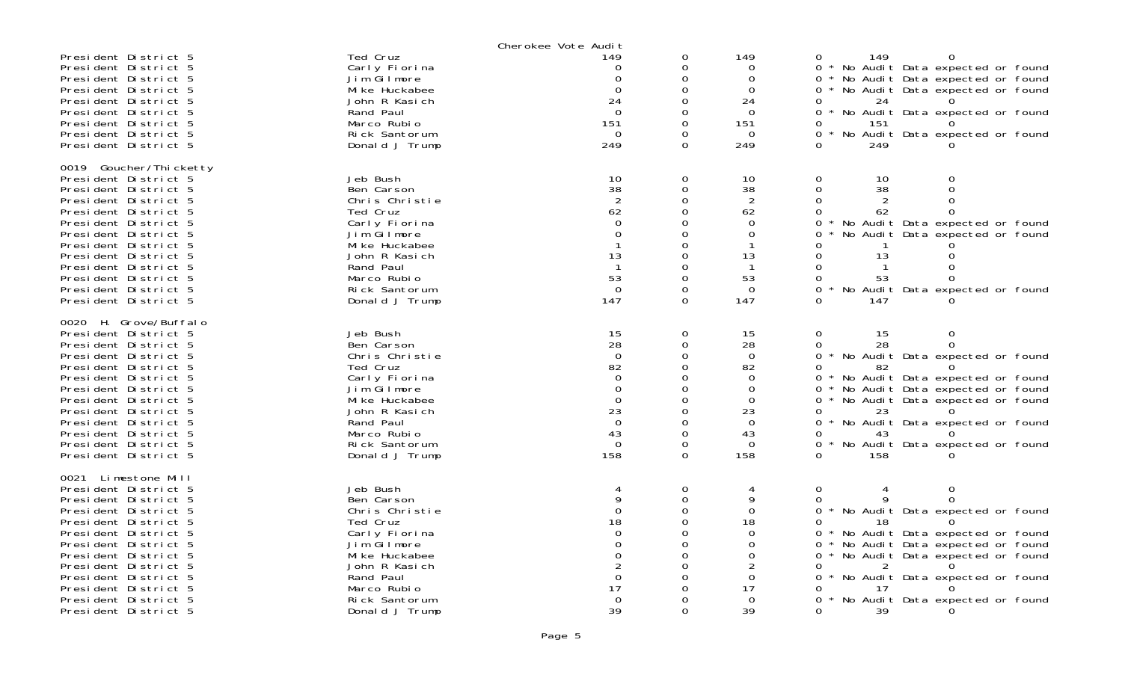|                                               |                                 | Cherokee Vote Audit |               |                |                                                                                    |
|-----------------------------------------------|---------------------------------|---------------------|---------------|----------------|------------------------------------------------------------------------------------|
| President District 5                          | Ted Cruz                        | 149                 | 0             | 149            | 0<br>149<br>$\Omega$                                                               |
| President District 5<br>President District 5  | Carly Fiorina<br>Jim Gilmore    | $\Omega$            | $\Omega$<br>O | 0<br>$\Omega$  | $0 *$<br>No Audit Data expected or found<br>∩ *<br>No Audit Data expected or found |
| President District 5                          | Mi ke Huckabee                  | $\Omega$            | $\Omega$      | $\Omega$       | No Audit Data expected or found<br>0                                               |
| President District 5                          | John R Kasich                   | 24                  | O             | 24             | 0<br>24                                                                            |
| President District 5                          | Rand Paul                       | $\Omega$            | $\Omega$      | $\Omega$       | No Audit Data expected or found<br>∩ *                                             |
| President District 5                          | Marco Rubio                     | 151                 | ∩             | 151            | 0<br>151                                                                           |
| President District 5                          | Rick Santorum                   | $\Omega$            | $\Omega$      | $\Omega$       | $0 *$<br>No Audit Data expected or found                                           |
| President District 5                          | Donald J Trump                  | 249                 | $\Omega$      | 249            | 0<br>249                                                                           |
| 0019 Goucher/Thicketty                        |                                 |                     |               |                |                                                                                    |
| President District 5                          | Jeb Bush                        | 10                  | $\Omega$      | 10             | $\Omega$<br>$\Omega$<br>10                                                         |
| President District 5                          | Ben Carson                      | 38                  | $\mathbf 0$   | 38             | $\mathbf{0}$<br>38<br>0                                                            |
| President District 5                          | Chris Christie                  |                     | 0             |                | 0<br>$\Omega$                                                                      |
| President District 5                          | Ted Cruz                        | 62                  | O             | 62             | 62<br>$\Omega$<br>0                                                                |
| President District 5                          | Carly Fiorina                   | $\Omega$            |               | 0              | 0<br>No Audit Data expected or found                                               |
| President District 5                          | Jim Gilmore                     | 0                   | 0             | 0              | No Audit Data expected or found<br>0                                               |
| President District 5<br>President District 5  | Mi ke Huckabee<br>John R Kasich | 13                  | 0<br>O        | 1<br>13        | O<br>13<br>0<br>∩                                                                  |
| President District 5                          | Rand Paul                       |                     | O             | -1             | 0<br>$\Omega$                                                                      |
| President District 5                          | Marco Rubio                     | 53                  | O             | 53             | 0<br>53<br>$\Omega$                                                                |
| President District 5                          | Rick Santorum                   | $\mathbf 0$         | $\Omega$      | $\mathbf 0$    | No<br>Audit Data expected or found<br>0                                            |
| President District 5                          | Donald J Trump                  | 147                 | $\Omega$      | 147            | 0<br>147                                                                           |
|                                               |                                 |                     |               |                |                                                                                    |
| 0020 H. Grove/Buffalo<br>President District 5 | Jeb Bush                        | 15                  | 0             | 15             | 0<br>0<br>15                                                                       |
| President District 5                          | Ben Carson                      | 28                  | $\Omega$      | 28             | 28<br>$\Omega$<br>0                                                                |
| President District 5                          | Chris Christie                  | $\mathbf 0$         | 0             | $\mathbf 0$    | $0 *$<br>No Audit Data expected or found                                           |
| President District 5                          | Ted Cruz                        | 82                  | $\Omega$      | 82             | 82<br>0                                                                            |
| President District 5                          | Carly Fiorina                   | $\Omega$            | O             | $\Omega$       | No Audit Data expected or found<br>0                                               |
| President District 5                          | Jim Gilmore                     | $\Omega$            | $\Omega$      | $\Omega$       | No Audit Data expected or found<br>0                                               |
| President District 5                          | Mi ke Huckabee                  | $\Omega$            |               | $\Omega$       | No Audit Data expected or found<br>0                                               |
| President District 5<br>President District 5  | John R Kasich<br>Rand Paul      | 23<br>$\Omega$      | O<br>O        | 23<br>$\Omega$ | 23<br>$\Omega$<br>0                                                                |
| President District 5                          | Marco Rubio                     | 43                  | 0             | 43             | No Audit Data expected or found<br>43<br>0                                         |
| President District 5                          | Rick Santorum                   | $\overline{0}$      | 0             | $\Omega$       | 0<br>No Audit Data expected or found                                               |
| President District 5                          | Donald J Trump                  | 158                 | 0             | 158            | 158<br>0                                                                           |
|                                               |                                 |                     |               |                |                                                                                    |
| 0021<br>Limestone Mill                        |                                 |                     |               |                |                                                                                    |
| President District 5<br>President District 5  | Jeb Bush<br>Ben Carson          | 4<br>9              | 0<br>$\Omega$ | 4<br>9         | $\mathbf 0$<br>0<br>$\Omega$<br>0                                                  |
| President District 5                          | Chris Christie                  | $\mathbf{O}$        | $\Omega$      | $\Omega$       | 0<br>No Audit Data expected or found                                               |
| President District 5                          | Ted Cruz                        | 18                  | ∩             | 18             | 0<br>18                                                                            |
| President District 5                          | Carly Fiorina                   | $\Omega$            | O             | 0              | No Audit Data expected or found<br>$\Omega$                                        |
| President District 5                          | Jim Gilmore                     | $\Omega$            | O             | 0              | No Audit Data expected or found<br>0                                               |
| President District 5                          | Mi ke Huckabee                  | $\Omega$            | O             | 0              | No Audit Data expected or found<br>∩ *                                             |
| President District 5                          | John R Kasich                   |                     | $\Omega$      |                | 0                                                                                  |
| President District 5                          | Rand Paul                       | $\Omega$            |               | 0              | No Audit Data expected or found<br>0                                               |
| President District 5<br>President District 5  | Marco Rubio<br>Rick Santorum    | 17<br>$\Omega$      | Ω             | 17<br>$\Omega$ | 17<br>No Audit Data expected or found<br>0                                         |
| President District 5                          | Donald J Trump                  | 39                  | $\Omega$      | 39             | $\Omega$<br>39<br><sup>n</sup>                                                     |
|                                               |                                 |                     |               |                |                                                                                    |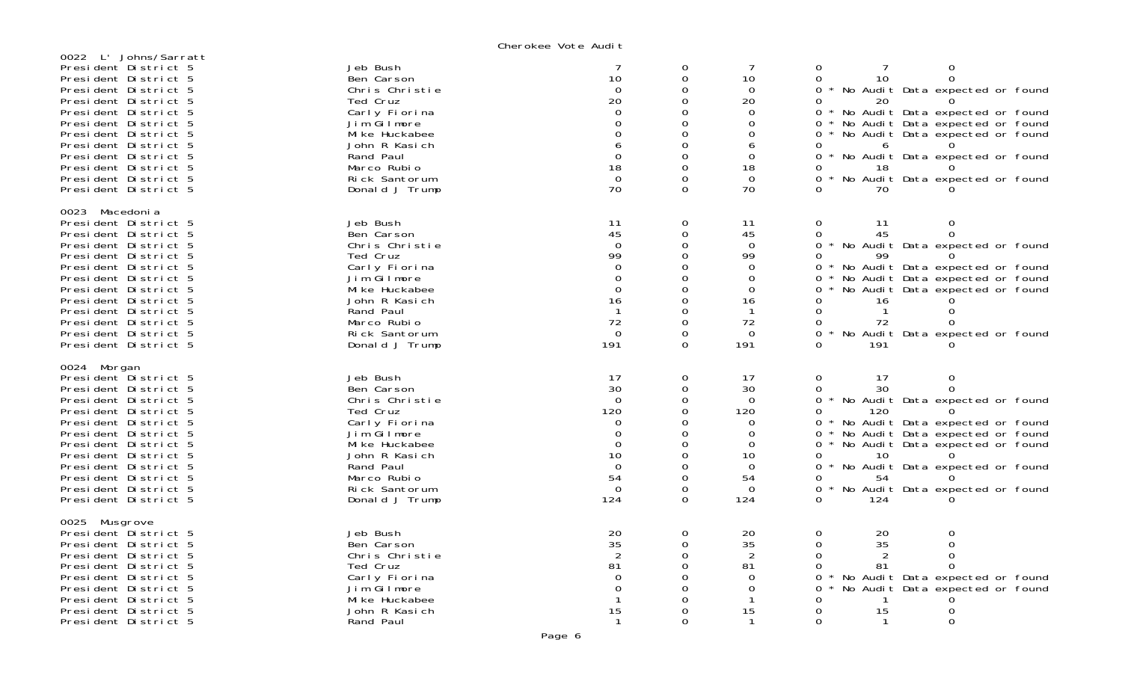Cherokee Vote Audit

| 0022 L' Johns/Sarratt<br>President District 5<br>President District 5<br>President District 5<br>President District 5<br>President District 5<br>President District 5<br>President District 5<br>President District 5<br>President District 5<br>President District 5<br>President District 5<br>President District 5 | Jeb Bush<br>Ben Carson<br>Chris Christie<br>Ted Cruz<br>Carly Fiorina<br>Jim Gilmore<br>Mi ke Huckabee<br>John R Kasich<br>Rand Paul<br>Marco Rubio<br>Rick Santorum<br>Donald J Trump | 7<br>10<br>$\Omega$<br>20<br>$\Omega$<br>$\Omega$<br>$\Omega$<br>6<br>$\Omega$<br>18<br>$\Omega$<br>70     | 0<br>$\Omega$<br>0<br>$\Omega$<br>$\Omega$<br>$\Omega$<br>$\Omega$<br>$\mathbf 0$<br>$\Omega$<br>0<br>$\Omega$<br>$\Omega$    | $\overline{7}$<br>10<br>$\Omega$<br>20<br>$\Omega$<br>$\Omega$<br>$\Omega$<br>6<br>$\Omega$<br>18<br>$\Omega$<br>70 | 7<br>0<br>0<br>$\mathbf 0$<br>10<br>0<br>∩ *<br>No Audit Data expected or found<br>20<br>0<br>No Audit Data expected or found<br>$\Omega$<br>No Audit Data expected or found<br>0<br>No Audit Data expected or found<br>0<br>0<br>6<br>0<br>No Audit Data expected or found<br>18<br>0<br>No Audit Data expected or found<br>0<br>70                                                  |
|-----------------------------------------------------------------------------------------------------------------------------------------------------------------------------------------------------------------------------------------------------------------------------------------------------------------------|----------------------------------------------------------------------------------------------------------------------------------------------------------------------------------------|------------------------------------------------------------------------------------------------------------|-------------------------------------------------------------------------------------------------------------------------------|---------------------------------------------------------------------------------------------------------------------|---------------------------------------------------------------------------------------------------------------------------------------------------------------------------------------------------------------------------------------------------------------------------------------------------------------------------------------------------------------------------------------|
| 0023 Macedonia<br>President District 5<br>President District 5<br>President District 5<br>President District 5<br>President District 5<br>President District 5<br>President District 5<br>President District 5<br>President District 5<br>President District 5<br>President District 5<br>President District 5        | Jeb Bush<br>Ben Carson<br>Chris Christie<br>Ted Cruz<br>Carly Fiorina<br>Jim Gilmore<br>Mi ke Huckabee<br>John R Kasich<br>Rand Paul<br>Marco Rubio<br>Rick Santorum<br>Donald J Trump | 11<br>45<br>$\Omega$<br>99<br>$\Omega$<br>$\Omega$<br>$\Omega$<br>16<br>-1<br>72<br>$\Omega$<br>191        | 0<br>$\mathbf 0$<br>$\mathbf 0$<br>$\Omega$<br>0<br>$\Omega$<br>$\Omega$<br>$\Omega$<br>0<br>$\Omega$<br>$\Omega$<br>$\Omega$ | 11<br>45<br>$\Omega$<br>99<br>$\Omega$<br>$\Omega$<br>$\Omega$<br>16<br>$\overline{1}$<br>72<br>$\Omega$<br>191     | $\mathbf{O}$<br>11<br>0<br>$\Omega$<br>45<br>$\Omega$<br>No Audit Data expected or found<br>$0^*$<br>99<br>$\Omega$<br>No Audit Data expected or found<br>$0 *$<br>No Audit Data expected or found<br>$0 *$<br>No Audit Data expected or found<br>$0 *$<br>16<br>0<br>$\mathbf{1}$<br>$\Omega$<br>ი<br>72<br>$\Omega$<br>0<br>No Audit Data expected or found<br>0<br>191<br>$\Omega$ |
| 0024 Morgan<br>President District 5<br>President District 5<br>President District 5<br>President District 5<br>President District 5<br>President District 5<br>President District 5<br>President District 5<br>President District 5<br>President District 5<br>President District 5<br>President District 5           | Jeb Bush<br>Ben Carson<br>Chris Christie<br>Ted Cruz<br>Carly Fiorina<br>Jim Gilmore<br>Mi ke Huckabee<br>John R Kasich<br>Rand Paul<br>Marco Rubio<br>Rick Santorum<br>Donald J Trump | 17<br>30<br>$\Omega$<br>120<br>$\Omega$<br>$\Omega$<br>$\Omega$<br>10<br>$\Omega$<br>54<br>$\Omega$<br>124 | 0<br>$\mathbf 0$<br>$\Omega$<br>$\Omega$<br>0<br>$\Omega$<br>0<br>$\Omega$<br>$\Omega$<br>0<br>0<br>$\Omega$                  | 17<br>30<br>$\Omega$<br>120<br>$\Omega$<br>$\Omega$<br>$\Omega$<br>10<br>$\Omega$<br>54<br>$\Omega$<br>124          | $\mathbf{O}$<br>17<br>0<br>30<br>$\Omega$<br>$\Omega$<br>0 * No Audit Data expected or found<br>120<br>0<br>No Audit Data expected or found<br>$0 *$<br>No Audit Data expected or found<br>$\Omega$<br>No Audit Data expected or found<br>$0^*$<br>0<br>10<br>No Audit Data expected or found<br>ი ∗<br>54<br>No Audit Data expected or found<br>0<br>124<br>$\Omega$                 |
| 0025 Musgrove<br>President District 5<br>President District 5<br>President District 5<br>President District 5<br>President District 5<br>President District 5<br>President District 5<br>President District 5<br>President District 5                                                                                 | Jeb Bush<br>Ben Carson<br>Chris Christie<br>Ted Cruz<br>Carly Fiorina<br>Jim Gilmore<br>Mi ke Huckabee<br>John R Kasich<br>Rand Paul                                                   | 20<br>35<br>$\overline{2}$<br>81<br>$\Omega$<br>$\Omega$<br>15<br>-1                                       | 0<br>$\mathbf 0$<br>$\Omega$<br>0<br>0<br>$\Omega$<br>$\Omega$<br>$\Omega$<br>$\Omega$                                        | 20<br>35<br>$\overline{2}$<br>81<br>$\Omega$<br>$\Omega$<br>-1<br>15<br>$\mathbf{1}$                                | 0<br>0<br>20<br>35<br>$\mathbf 0$<br>0<br>$\Omega$<br>$\mathcal{P}$<br>$\Omega$<br>$\Omega$<br>81<br>$\Omega$<br>No Audit Data expected or found<br>0<br>$\Omega$<br>No Audit Data expected or found<br>0<br>15<br>$\Omega$<br>0<br>0<br>0<br>$\mathbf{1}$                                                                                                                            |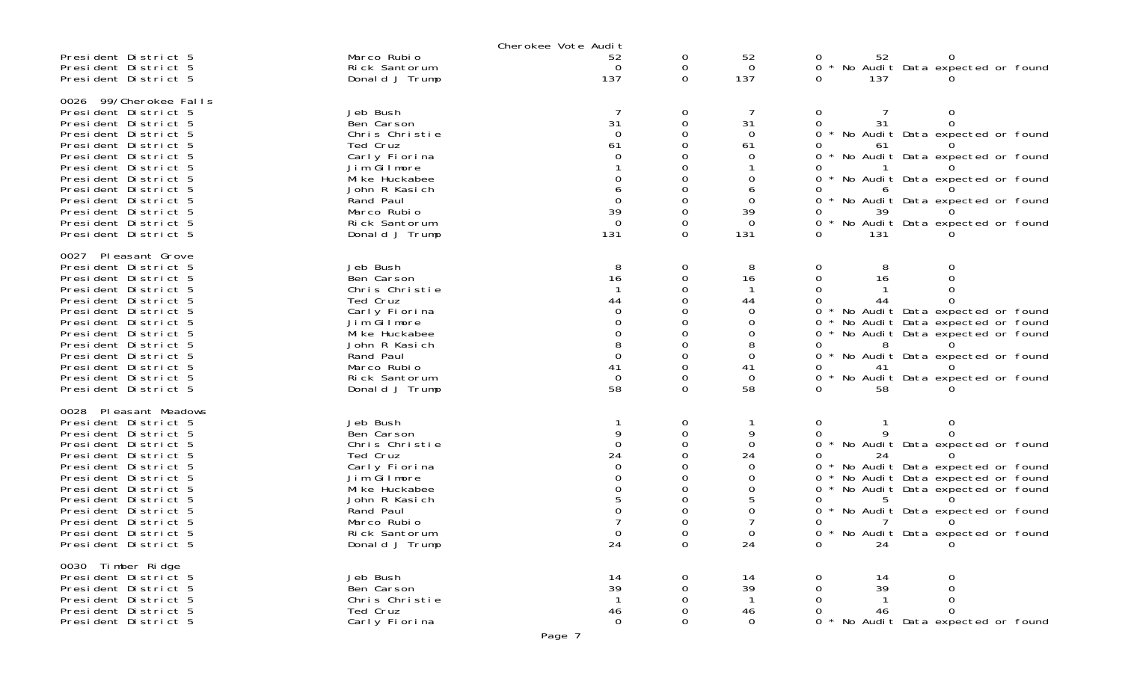|                                                                                                                                                                                                                                                                                                                        |                                                                                                                                                                                        | Cherokee Vote Audit                               |                    |                                                                |                                                                                                                                                                                                                                                                                                |
|------------------------------------------------------------------------------------------------------------------------------------------------------------------------------------------------------------------------------------------------------------------------------------------------------------------------|----------------------------------------------------------------------------------------------------------------------------------------------------------------------------------------|---------------------------------------------------|--------------------|----------------------------------------------------------------|------------------------------------------------------------------------------------------------------------------------------------------------------------------------------------------------------------------------------------------------------------------------------------------------|
| President District 5<br>President District 5<br>President District 5                                                                                                                                                                                                                                                   | Marco Rubio<br>Rick Santorum<br>Donald J Trump                                                                                                                                         | 52<br>$\Omega$<br>137                             | 0<br>0<br>$\Omega$ | 52<br>$\Omega$<br>137                                          | 52<br>No Audit Data expected or found<br>137<br><sup>o</sup>                                                                                                                                                                                                                                   |
| 0026 99/Cherokee Falls<br>President District 5<br>President District 5<br>President District 5<br>President District 5<br>President District 5<br>President District 5<br>President District 5<br>President District 5<br>President District 5<br>President District 5<br>President District 5<br>President District 5 | Jeb Bush<br>Ben Carson<br>Chris Christie<br>Ted Cruz<br>Carly Fiorina<br>Jim Gilmore<br>Mi ke Huckabee<br>John R Kasich<br>Rand Paul<br>Marco Rubio<br>Rick Santorum<br>Donald J Trump | 31<br>$\Omega$<br>61<br>39<br>$\Omega$<br>131     | 0<br>0<br>0        | 31<br>$\Omega$<br>61<br>0<br>$\Omega$<br>39<br>$\Omega$<br>131 | 0<br>0<br>31<br>$\Omega$<br>0<br>* No Audit Data expected or found<br>61<br>* No Audit Data expected or found<br>0<br>No Audit Data expected or found<br>* No Audit Data expected or found<br>39<br>No Audit Data expected or found<br>0<br>131                                                |
| 0027 Pleasant Grove<br>President District 5<br>President District 5<br>President District 5<br>President District 5<br>President District 5<br>President District 5<br>President District 5<br>President District 5<br>President District 5<br>President District 5<br>President District 5<br>President District 5    | Jeb Bush<br>Ben Carson<br>Chris Christie<br>Ted Cruz<br>Carly Fiorina<br>Jim Gilmore<br>Mi ke Huckabee<br>John R Kasich<br>Rand Paul<br>Marco Rubio<br>Rick Santorum<br>Donald J Trump | 8<br>16<br>44<br>$\Omega$<br>41<br>$\Omega$<br>58 | 0<br>0<br>0        | 8<br>16<br>44<br>0<br>0<br>0<br>41<br>$\Omega$<br>58           | 0<br>0<br>0<br>16<br>No Audit Data expected or found<br>No Audit Data expected or found<br>No Audit Data expected or found<br>8<br>No Audit Data expected or found<br>No Audit Data expected or found<br><sup>n</sup><br>58                                                                    |
| 0028 Pleasant Meadows<br>President District 5<br>President District 5<br>President District 5<br>President District 5<br>President District 5<br>President District 5<br>President District 5<br>President District 5<br>President District 5<br>President District 5<br>President District 5<br>President District 5  | Jeb Bush<br>Ben Carson<br>Chris Christie<br>Ted Cruz<br>Carly Fiorina<br>Jim Gilmore<br>Mi ke Huckabee<br>John R Kasich<br>Rand Paul<br>Marco Rubio<br>Rick Santorum<br>Donald J Trump | $\Omega$<br>24<br>24                              | 0<br>0<br>0        | $\Omega$<br>24<br>$\Omega$<br>24                               | 0<br>0<br>0<br>* No Audit Data expected or found<br>0<br>24<br>* No Audit Data expected or found<br>No Audit Data expected or found<br>0<br>No Audit Data expected or found<br>0<br>* No Audit Data expected or found<br><sup>o</sup><br>0 * No Audit Data expected or found<br>$\Omega$<br>24 |
| 0030 Timber Ridge<br>President District 5<br>President District 5<br>President District 5<br>President District 5<br>President District 5                                                                                                                                                                              | Jeb Bush<br>Ben Carson<br>Chris Christie<br>Ted Cruz<br>Carly Fiorina                                                                                                                  | 14<br>39<br>46<br>$\Omega$                        | 0<br>0<br>∩        | 14<br>39<br>46<br>$\Omega$                                     | 14<br>39<br>0<br>46<br>$\Omega$<br>No Audit Data expected or found                                                                                                                                                                                                                             |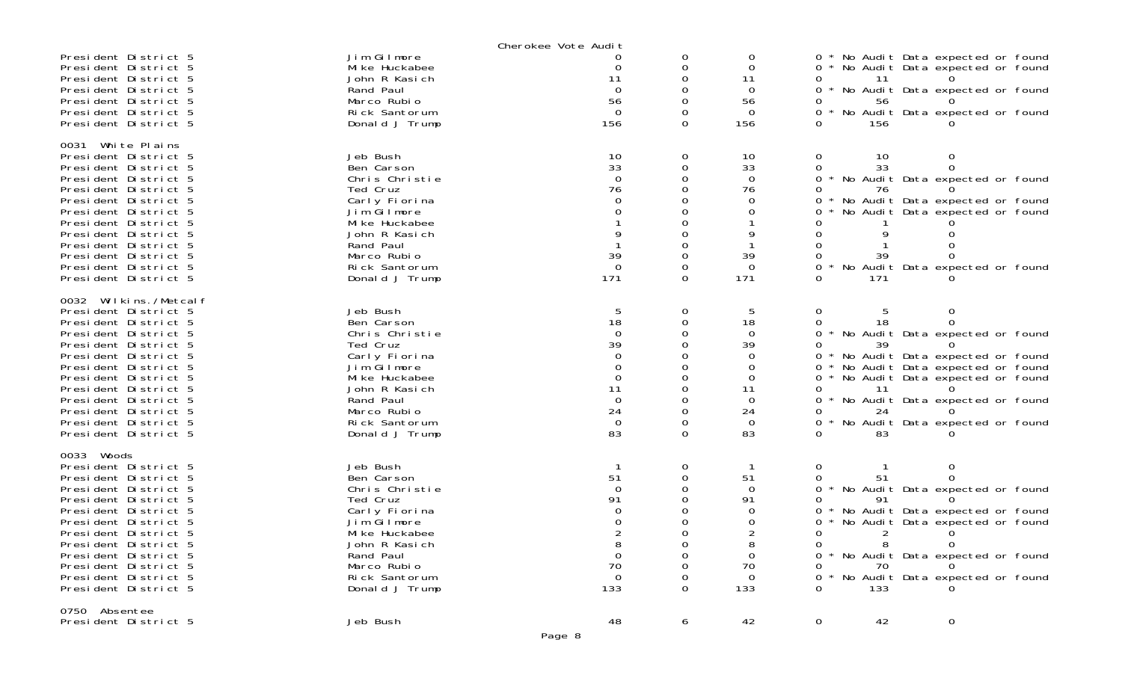|                                                                                                                                                                                                                                                                                                                       |                                                                                                                                                                                        | Cherokee Vote Audit                                                                            |                         |                                                                                                   |                                                                      |                                                                                                                                                                                                                        |
|-----------------------------------------------------------------------------------------------------------------------------------------------------------------------------------------------------------------------------------------------------------------------------------------------------------------------|----------------------------------------------------------------------------------------------------------------------------------------------------------------------------------------|------------------------------------------------------------------------------------------------|-------------------------|---------------------------------------------------------------------------------------------------|----------------------------------------------------------------------|------------------------------------------------------------------------------------------------------------------------------------------------------------------------------------------------------------------------|
| President District 5<br>President District 5<br>President District 5<br>President District 5<br>President District 5<br>President District 5<br>President District 5                                                                                                                                                  | Jim Gilmore<br>Mi ke Huckabee<br>John R Kasich<br>Rand Paul<br>Marco Rubio<br>Rick Santorum<br>Donald J Trump                                                                          | 0<br>11<br>$\Omega$<br>56<br>$\Omega$<br>156                                                   | 0<br>Ω<br>0<br>0        | 0<br>$\Omega$<br>11<br>$\mathbf 0$<br>56<br>$\Omega$<br>156                                       | 0<br>11<br>0<br>56<br>0<br>156<br>0                                  | * No Audit Data expected or found<br>* No Audit Data expected or found<br>* No Audit Data expected or found<br>* No Audit Data expected or found                                                                       |
| 0031 White Plains<br>President District 5<br>President District 5<br>President District 5<br>President District 5<br>President District 5<br>President District 5<br>President District 5<br>President District 5<br>President District 5<br>President District 5<br>President District 5<br>President District 5     | Jeb Bush<br>Ben Carson<br>Chris Christie<br>Ted Cruz<br>Carly Fiorina<br>Jim Gilmore<br>Mi ke Huckabee<br>John R Kasich<br>Rand Paul<br>Marco Rubio<br>Rick Santorum<br>Donald J Trump | 10<br>33<br>$\overline{0}$<br>76<br>39<br>$\Omega$<br>171                                      | 0<br>0<br>$\Omega$      | 10<br>33<br>$\Omega$<br>76<br>0<br>0<br>39<br>0<br>171                                            | 0<br>10<br>33<br>0<br>0<br>76<br>0<br>39<br>171                      | 0<br>$\Omega$<br>* No Audit Data expected or found<br>No Audit Data expected or found<br>No Audit Data expected or found<br>No Audit Data expected or found                                                            |
| 0032 Wilkins./Metcalf<br>President District 5<br>President District 5<br>President District 5<br>President District 5<br>President District 5<br>President District 5<br>President District 5<br>President District 5<br>President District 5<br>President District 5<br>President District 5<br>President District 5 | Jeb Bush<br>Ben Carson<br>Chris Christie<br>Ted Cruz<br>Carly Fiorina<br>Jim Gilmore<br>Mi ke Huckabee<br>John R Kasich<br>Rand Paul<br>Marco Rubio<br>Rick Santorum<br>Donald J Trump | 5<br>18<br>$\Omega$<br>39<br>$\Omega$<br>$\Omega$<br>11<br>$\Omega$<br>24<br>$\mathbf 0$<br>83 | 0<br>0<br>0<br>$\Omega$ | 5<br>18<br>$\overline{0}$<br>39<br>0<br>0<br>0<br>11<br>$\mathbf 0$<br>24<br>$\overline{0}$<br>83 | $\mathbf{O}$<br>0<br>39<br>0<br>0<br>0<br>11<br>24<br>0.<br>0<br>83  | * No Audit Data expected or found<br>* No Audit Data expected or found<br>* No Audit Data expected or found<br>* No Audit Data expected or found<br>No Audit Data expected or found<br>No Audit Data expected or found |
| 0033 Woods<br>President District 5<br>President District 5<br>President District 5<br>President District 5<br>President District 5<br>President District 5<br>President District 5<br>President District 5<br>President District 5<br>President District 5<br>President District 5<br>President District 5            | Jeb Bush<br>Ben Carson<br>Chris Christie<br>Ted Cruz<br>Carly Fiorina<br>Jim Gilmore<br>Mi ke Huckabee<br>John R Kasich<br>Rand Paul<br>Marco Rubio<br>Rick Santorum<br>Donald J Trump | -1<br>51<br>$\Omega$<br>91<br>8<br>70<br>$\Omega$<br>133                                       | 0<br>0<br>0             | 51<br>$\Omega$<br>91<br>0<br>8<br>$\Omega$<br>70<br>$\Omega$<br>133                               | 0<br>0<br>0<br>0<br>2<br>8<br>0<br>$\Omega$<br>70<br>$\Omega$<br>133 | * No Audit Data expected or found<br>No Audit Data expected or found<br>No Audit Data expected or found<br>$\Omega$<br>* No Audit Data expected or found<br>No Audit Data expected or found                            |
| 0750 Absentee<br>President District 5                                                                                                                                                                                                                                                                                 | Jeb Bush                                                                                                                                                                               | 48<br>Page 8                                                                                   | 6                       | 42                                                                                                | 42<br>$\overline{0}$                                                 | $\overline{0}$                                                                                                                                                                                                         |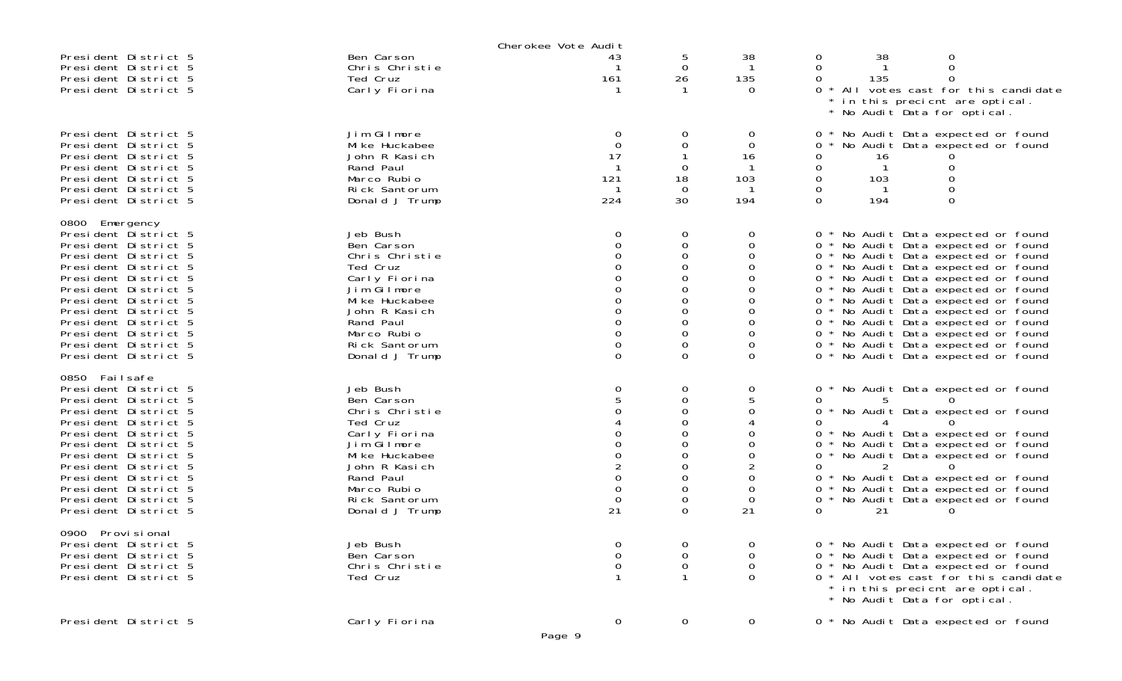|                                              |                              | Cherokee Vote Audit  |                         |               |                                                                                                        |
|----------------------------------------------|------------------------------|----------------------|-------------------------|---------------|--------------------------------------------------------------------------------------------------------|
| President District 5                         | Ben Carson                   | 43                   | 5                       | 38            | 38<br>0<br>0                                                                                           |
| President District 5                         | Chris Christie               |                      | $\mathbf 0$             | -1            | 0<br>$\Omega$                                                                                          |
| President District 5                         | Ted Cruz                     | 161                  | 26                      | 135           | 135<br>0                                                                                               |
| President District 5                         | Carly Fiorina                |                      |                         | $\Omega$      | * All votes cast for this candidate<br>0                                                               |
|                                              |                              |                      |                         |               | * in this precient are optical.<br>* No Audit Data for optical.                                        |
|                                              |                              |                      |                         |               |                                                                                                        |
| President District 5                         | Jim Gilmore                  |                      | 0                       | 0             | No Audit Data expected or found<br>0                                                                   |
| President District 5                         | Mi ke Huckabee               | 0                    | 0                       | 0             | 0<br>No Audit Data expected or found                                                                   |
| President District 5                         | John R Kasich                | 17                   |                         | 16            | 0<br>16                                                                                                |
| President District 5                         | Rand Paul                    |                      | 0                       | -1            | 0<br>$\mathbf{1}$                                                                                      |
| President District 5                         | Marco Rubio                  | 121                  | 18                      | 103           | 0<br>103                                                                                               |
| President District 5                         | Rick Santorum                |                      | $\Omega$                |               | 0                                                                                                      |
| President District 5                         | Donald J Trump               | 224                  | 30                      | 194           | 0<br>0<br>194                                                                                          |
| 0800 Emergency                               |                              |                      |                         |               |                                                                                                        |
| President District 5                         | Jeb Bush                     | 0                    | $\mathbf 0$             | 0             | No Audit Data expected or found<br>0<br>$\star$                                                        |
| President District 5                         | Ben Carson                   | $\Omega$             | $\mathbf 0$             | O             | No Audit Data expected or found<br>$0 *$                                                               |
| President District 5                         | Chris Christie               | 0                    | 0                       | $\Omega$      | No Audit Data expected or found<br>$\overline{0}$                                                      |
| President District 5                         | Ted Cruz                     |                      | 0                       |               | $\mathbf{O}$<br>No Audit Data expected or found                                                        |
| President District 5                         | Carly Fiorina                |                      | 0                       |               | 0 * No Audit Data expected or found                                                                    |
| President District 5                         | Jim Gilmore                  | 0                    | 0                       | 0             | No Audit Data expected or found<br>$\mathbf{O}$                                                        |
| President District 5                         | Mi ke Huckabee               |                      | 0                       |               | $\mathbf{O}$<br>No Audit Data expected or found                                                        |
| President District 5                         | John R Kasich<br>Rand Paul   | $\Omega$<br>$\Omega$ | $\Omega$<br>$\mathbf 0$ | $\Omega$<br>0 | No Audit Data expected or found<br>$\mathbf{0}$                                                        |
| President District 5<br>President District 5 | Marco Rubio                  | $\Omega$             | 0                       |               | * No Audit Data expected or found<br>$\mathbf{0}$<br>No Audit Data expected or found<br>$\overline{0}$ |
| President District 5                         | Rick Santorum                | 0                    | 0                       |               | No Audit Data expected or found<br>$\mathbf{0}$                                                        |
| President District 5                         | Donald J Trump               | $\Omega$             | $\Omega$                | $\Omega$      | No Audit Data expected or found<br>$0 *$                                                               |
|                                              |                              |                      |                         |               |                                                                                                        |
| 0850 Failsafe                                |                              |                      |                         |               |                                                                                                        |
| President District 5                         | Jeb Bush                     | 0                    | $\mathbf 0$             | 0             | 0<br>No Audit Data expected or found                                                                   |
| President District 5<br>President District 5 | Ben Carson<br>Chris Christie |                      | 0<br>$\Omega$           | 0             | 0<br>No Audit Data expected or found<br>0                                                              |
| President District 5                         | Ted Cruz                     |                      | 0                       |               | 0                                                                                                      |
| President District 5                         | Carly Fiorina                |                      | 0                       |               | 0<br>No Audit Data expected or found                                                                   |
| President District 5                         | Jim Gilmore                  | $\mathbf{O}$         | $\Omega$                | $\Omega$      | No Audit Data expected or found<br>0                                                                   |
| President District 5                         | Mi ke Huckabee               |                      | 0                       | 0             | No Audit Data expected or found<br>0                                                                   |
| President District 5                         | John R Kasich                |                      | 0                       |               | 0                                                                                                      |
| President District 5                         | Rand Paul                    | $\overline{0}$       | $\Omega$                | $\Omega$      | 0<br>No Audit Data expected or found                                                                   |
| President District 5                         | Marco Rubio                  | $\Omega$             | $\mathbf 0$             | 0             | No Audit Data expected or found<br>0                                                                   |
| President District 5                         | Rick Santorum                | 0                    | 0                       | 0             | 0<br>No Audit Data expected or found                                                                   |
| President District 5                         | Donald J Trump               | 21                   | $\Omega$                | 21            | $\Omega$<br>21                                                                                         |
| 0900<br>Provi si onal                        |                              |                      |                         |               |                                                                                                        |
| President District 5                         | Jeb Bush                     | $\mathbf 0$          | $\mathbf 0$             | 0             | 0 * No Audit Data expected or found                                                                    |
| President District 5                         | Ben Carson                   | 0                    | $\mathbf 0$             | 0             | * No Audit Data expected or found<br>0                                                                 |
| President District 5                         | Chris Christie               | 0                    | 0                       | 0             | * No Audit Data expected or found<br>0                                                                 |
| President District 5                         | Ted Cruz                     |                      | -1                      | $\Omega$      | 0 * All votes cast for this candidate                                                                  |
|                                              |                              |                      |                         |               | * in this precient are optical.                                                                        |
|                                              |                              |                      |                         |               | * No Audit Data for optical.                                                                           |
| President District 5                         | Carly Fiorina                | $\mathbf 0$          | $\overline{0}$          | 0             | 0 * No Audit Data expected or found                                                                    |
|                                              |                              | Page 9               |                         |               |                                                                                                        |
|                                              |                              |                      |                         |               |                                                                                                        |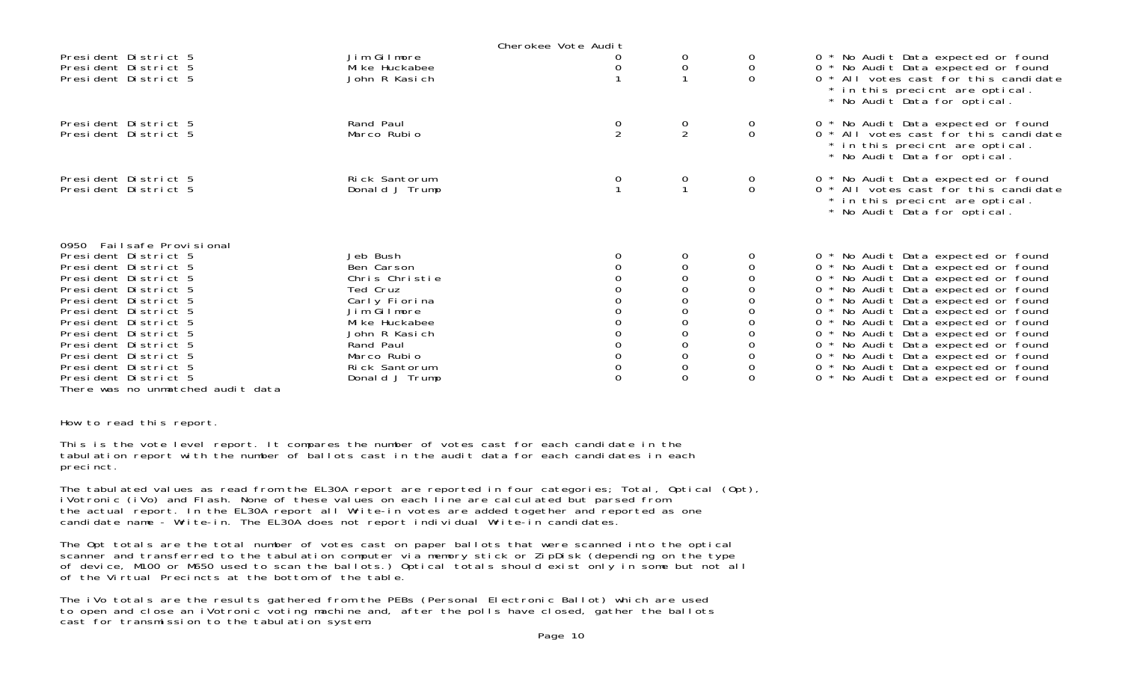|                                                                                                                                                                                                                                                                                                                                                                |                                                                                                                                                                                        | Cherokee Vote Audit |                                                                                                                                        |                                      |                                                                                                                                                                                                                                                                                                                                                                                                                                                                                  |
|----------------------------------------------------------------------------------------------------------------------------------------------------------------------------------------------------------------------------------------------------------------------------------------------------------------------------------------------------------------|----------------------------------------------------------------------------------------------------------------------------------------------------------------------------------------|---------------------|----------------------------------------------------------------------------------------------------------------------------------------|--------------------------------------|----------------------------------------------------------------------------------------------------------------------------------------------------------------------------------------------------------------------------------------------------------------------------------------------------------------------------------------------------------------------------------------------------------------------------------------------------------------------------------|
| President District 5<br>President District 5<br>President District 5                                                                                                                                                                                                                                                                                           | Jim Gilmore<br>Mi ke Huckabee<br>John R Kasich                                                                                                                                         |                     | 0<br>$\boldsymbol{0}$                                                                                                                  | 0<br>$\mathbf 0$<br>$\Omega$         | 0 * No Audit Data expected or found<br>0 * No Audit Data expected or found<br>0 * All votes cast for this candidate<br>* in this precient are optical.<br>* No Audit Data for optical.                                                                                                                                                                                                                                                                                           |
| President District 5<br>President District 5                                                                                                                                                                                                                                                                                                                   | Rand Paul<br>Marco Rubio                                                                                                                                                               | $\frac{0}{2}$       | $\frac{0}{2}$                                                                                                                          | $\begin{matrix} 0 \\ 0 \end{matrix}$ | 0 * No Audit Data expected or found<br>0 * All votes cast for this candidate<br>* in this precient are optical.<br>* No Audit Data for optical.                                                                                                                                                                                                                                                                                                                                  |
| President District 5<br>President District 5                                                                                                                                                                                                                                                                                                                   | Rick Santorum<br>Donald J Trump                                                                                                                                                        |                     | $\overline{0}$                                                                                                                         | 0<br>$\mathbf 0$                     | 0 * No Audit Data expected or found<br>0 * All votes cast for this candidate<br>* in this precient are optical.<br>* No Audit Data for optical.                                                                                                                                                                                                                                                                                                                                  |
| 0950 Failsafe Provisional<br>President District 5<br>President District 5<br>President District 5<br>President District 5<br>President District 5<br>President District 5<br>President District 5<br>President District 5<br>President District 5<br>President District 5<br>President District 5<br>President District 5<br>There was no unmatched audit data | Jeb Bush<br>Ben Carson<br>Chris Christie<br>Ted Cruz<br>Carly Fiorina<br>Jim Gilmore<br>Mi ke Huckabee<br>John R Kasich<br>Rand Paul<br>Marco Rubio<br>Rick Santorum<br>Donald J Trump |                     | 0<br>0<br>$\mathbf 0$<br>0<br>$\boldsymbol{0}$<br>$\boldsymbol{0}$<br>0<br>0<br>0<br>$\mathbf 0$<br>$\mathsf{O}\xspace$<br>$\mathbf 0$ | $\Omega$                             | 0 * No Audit Data expected or found<br>0 * No Audit Data expected or found<br>0 * No Audit Data expected or found<br>0 * No Audit Data expected or found<br>0 * No Audit Data expected or found<br>0 * No Audit Data expected or found<br>0 * No Audit Data expected or found<br>0 * No Audit Data expected or found<br>0 * No Audit Data expected or found<br>0 * No Audit Data expected or found<br>0 * No Audit Data expected or found<br>0 * No Audit Data expected or found |

How to read this report.

This is the vote level report. It compares the number of votes cast for each candidate in the tabulation report with the number of ballots cast in the audit data for each candidates in each precinct.

The tabulated values as read from the EL30A report are reported in four categories; Total, Optical (Opt), iVotronic (iVo) and Flash. None of these values on each line are calculated but parsed from the actual report. In the EL30A report all Write-in votes are added together and reported as one candidate name - Write-in. The EL30A does not report individual Write-in candidates.

The Opt totals are the total number of votes cast on paper ballots that were scanned into the optical scanner and transferred to the tabulation computer via memory stick or ZipDisk (depending on the type of device, M100 or M650 used to scan the ballots.) Optical totals should exist only in some but not all of the Virtual Precincts at the bottom of the table.

The iVo totals are the results gathered from the PEBs (Personal Electronic Ballot) which are used to open and close an iVotronic voting machine and, after the polls have closed, gather the ballots cast for transmission to the tabulation system.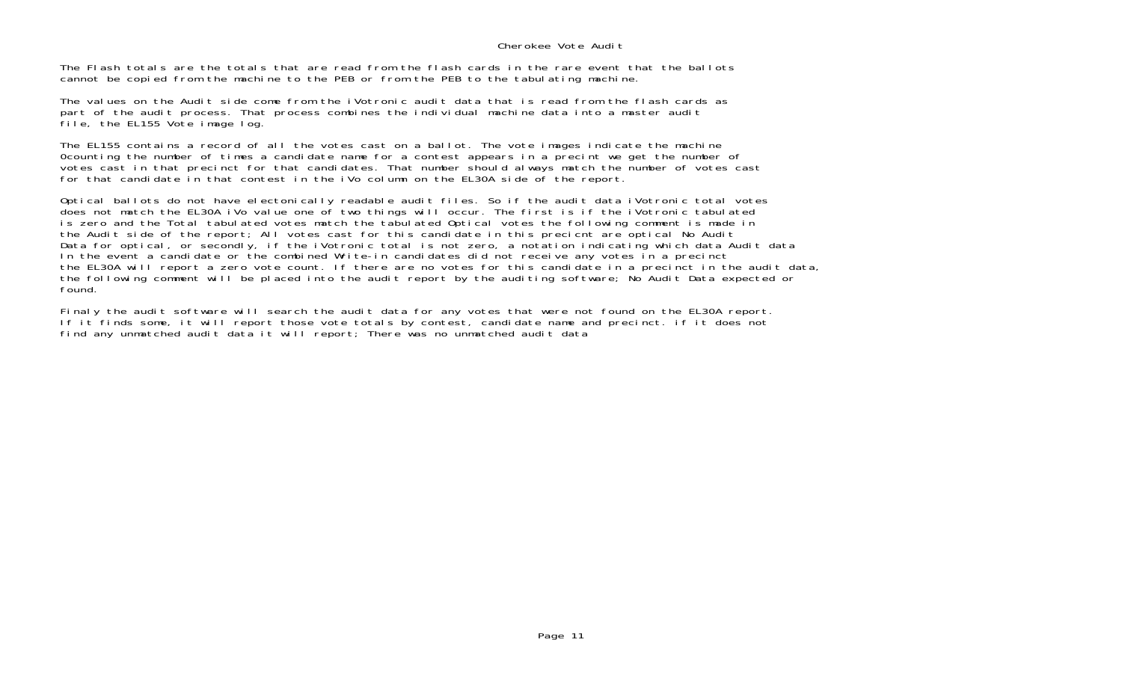## Cherokee Vote Audit

The Flash totals are the totals that are read from the flash cards in the rare event that the ballotscannot be copied from the machine to the PEB or from the PEB to the tabulating machine.

The values on the Audit side come from the iVotronic audit data that is read from the flash cards as part of the audit process. That process combines the individual machine data into a master audit file, the EL155 Vote image log.

The EL155 contains a record of all the votes cast on a ballot. The vote images indicate the machine 0counting the number of times a candidate name for a contest appears in a precint we get the number of votes cast in that precinct for that candidates. That number should always match the number of votes cast for that candidate in that contest in the iVo column on the EL30A side of the report.

Optical ballots do not have electonically readable audit files. So if the audit data iVotronic total votes does not match the EL30A iVo value one of two things will occur. The first is if the iVotronic tabulated is zero and the Total tabulated votes match the tabulated Optical votes the following comment is made in the Audit side of the report; All votes cast for this candidate in this precicnt are optical No Audit Data for optical, or secondly, if the iVotronic total is not zero, a notation indicating which data Audit data In the event a candidate or the combined Write-in candidates did not receive any votes in a precinct the EL30A will report a zero vote count. If there are no votes for this candidate in a precinct in the audit data, the following comment will be placed into the audit report by the auditing software; No Audit Data expected or found.

Finaly the audit software will search the audit data for any votes that were not found on the EL30A report. If it finds some, it will report those vote totals by contest, candidate name and precinct. if it does not find any unmatched audit data it will report; There was no unmatched audit data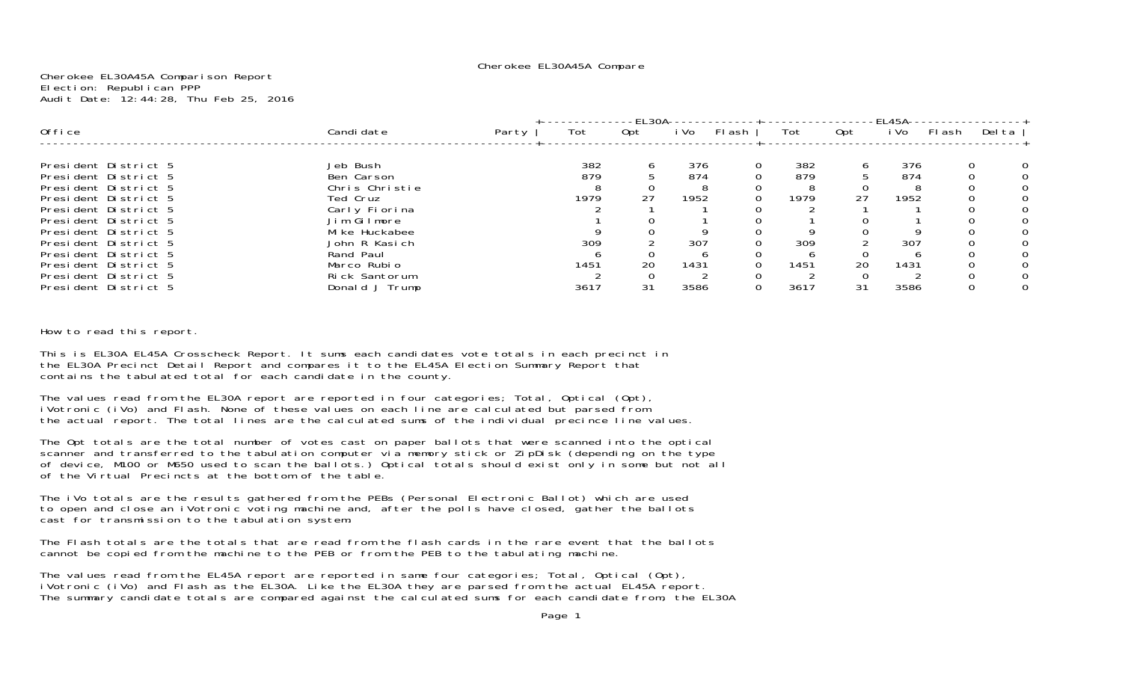#### Cherokee EL30A45A Compare

Cherokee EL30A45A Comparison Report Election: Republican PPP Audit Date: 12:44:28, Thu Feb 25, 2016

|                      |                |       |      | -EL30A- |      |          |      |     | EL45A |       |        |
|----------------------|----------------|-------|------|---------|------|----------|------|-----|-------|-------|--------|
| Office               | Candi date     | Party | Tot  | Opt     | i Vo | Flash    | Tot  | 0pt | i Vo  | Flash | Del ta |
|                      |                |       |      |         |      |          |      |     |       |       |        |
| President District 5 | Jeb Bush       |       | 382  | 6       | 376  | $\Omega$ | 382  | 6   | 376   |       |        |
| President District 5 | Ben Carson     |       | 879  |         | 874  |          | 879  |     | 874   |       |        |
| President District 5 | Chris Christie |       |      |         | 8    |          |      |     |       |       |        |
| President District 5 | Ted Cruz       |       | 1979 | 27      | 1952 |          | 1979 | 27  | 1952  |       |        |
| President District 5 | Carly Fiorina  |       |      |         |      |          |      |     |       |       |        |
| President District 5 | Jim Gilmore    |       |      |         |      |          |      |     |       |       |        |
| President District 5 | Mi ke Huckabee |       |      |         |      |          |      |     |       |       |        |
| President District 5 | John R Kasich  |       | 309  |         | 307  |          | 309  |     | 307   |       |        |
| President District 5 | Rand Paul      |       |      |         |      |          |      |     |       |       |        |
| President District 5 | Marco Rubio    |       | 1451 | 20      | 1431 |          | 1451 | 20  | 1431  |       |        |
| President District 5 | Rick Santorum  |       |      |         |      |          |      |     |       |       |        |
| President District 5 | Donald J Trump |       | 3617 | 31      | 3586 |          | 3617 | 31  | 3586  |       |        |

How to read this report.

This is EL30A EL45A Crosscheck Report. It sums each candidates vote totals in each precinct in the EL30A Precinct Detail Report and compares it to the EL45A Election Summary Report that contains the tabulated total for each candidate in the county.

The values read from the EL30A report are reported in four categories; Total, Optical (Opt), iVotronic (iVo) and Flash. None of these values on each line are calculated but parsed from the actual report. The total lines are the calculated sums of the individual precince line values.

The Opt totals are the total number of votes cast on paper ballots that were scanned into the optical scanner and transferred to the tabulation computer via memory stick or ZipDisk (depending on the type of device, M100 or M650 used to scan the ballots.) Optical totals should exist only in some but not all of the Virtual Precincts at the bottom of the table.

The iVo totals are the results gathered from the PEBs (Personal Electronic Ballot) which are used to open and close an iVotronic voting machine and, after the polls have closed, gather the ballots cast for transmission to the tabulation system.

The Flash totals are the totals that are read from the flash cards in the rare event that the ballots cannot be copied from the machine to the PEB or from the PEB to the tabulating machine.

The values read from the EL45A report are reported in same four categories; Total, Optical (Opt),<br>iVotronic (iVo) and Flash as the EL30A. Like the EL30A they are parsed from the actual EL45A report. The summary candidate totals are compared against the calculated sums for each candidate from, the EL30A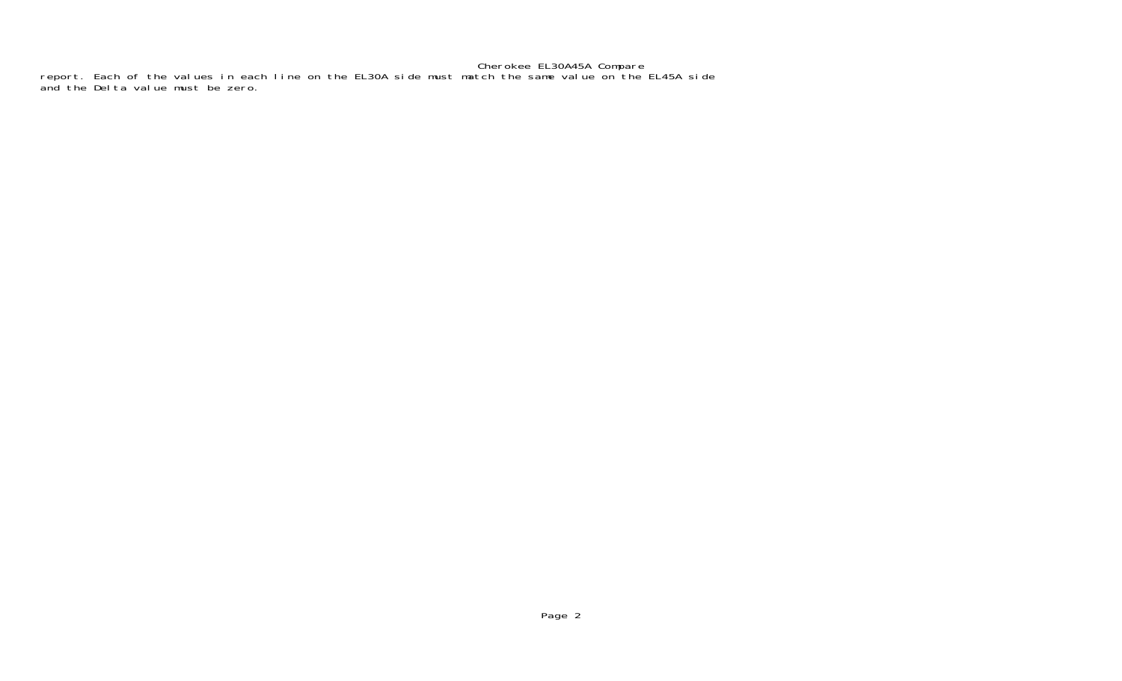# Cherokee EL30A45A Compare

report. Each of the values in each line on the EL30A side must match the same value on the EL45A side and the Delta value must be zero.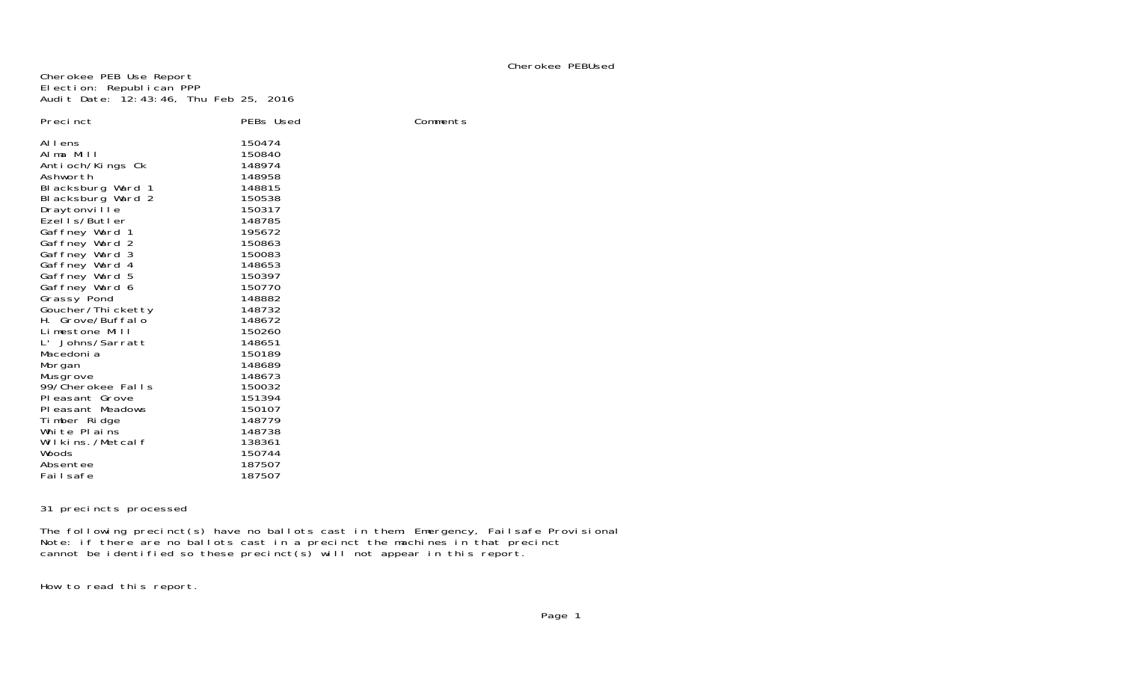# Cherokee PEBUsed

Comments

Cherokee PEB Use Report Election: Republican PPP Audit Date: 12:43:46, Thu Feb 25, 2016

| Precinct<br>Al I ens<br>Alma Mill<br>Antioch/Kings Ck<br>Ashworth<br>Blacksburg Ward 1<br>Blacksburg Ward 2<br>Draytonvi II e<br>Ezells/Butler<br>Gaffney Ward 1<br>Gaffney Ward 2<br>Gaffney Ward 3<br>Gaffney Ward 4<br>Gaffney Ward 5<br>Gaffney Ward 6<br>Grassy Pond<br>Goucher/Thi cketty<br>H. Grove/Buffalo<br>Limestone Mill<br>Johns/Sarratt<br>L'<br>Macedoni a<br>Morgan<br>Musgrove<br>99/Cherokee Falls<br>Pleasant Grove<br>PI easant Meadows<br>Timber Ridge | PEBs Used<br>150474<br>150840<br>148974<br>148958<br>148815<br>150538<br>150317<br>148785<br>195672<br>150863<br>150083<br>148653<br>150397<br>150770<br>148882<br>148732<br>148672<br>150260<br>148651<br>150189<br>148689<br>148673<br>150032<br>151394<br>150107<br>148779 |
|------------------------------------------------------------------------------------------------------------------------------------------------------------------------------------------------------------------------------------------------------------------------------------------------------------------------------------------------------------------------------------------------------------------------------------------------------------------------------|-------------------------------------------------------------------------------------------------------------------------------------------------------------------------------------------------------------------------------------------------------------------------------|
|                                                                                                                                                                                                                                                                                                                                                                                                                                                                              |                                                                                                                                                                                                                                                                               |
| White Plains<br>Wilkins./Metcalf                                                                                                                                                                                                                                                                                                                                                                                                                                             | 148738<br>138361                                                                                                                                                                                                                                                              |
| Woods<br>Absentee                                                                                                                                                                                                                                                                                                                                                                                                                                                            | 150744<br>187507                                                                                                                                                                                                                                                              |
| Fai I safe                                                                                                                                                                                                                                                                                                                                                                                                                                                                   | 187507                                                                                                                                                                                                                                                                        |

31 precincts processed

The following precinct(s) have no ballots cast in them: Emergency, Failsafe Provisional Note: if there are no ballots cast in a precinct the machines in that precinct cannot be identified so these precinct(s) will not appear in this report.

How to read this report.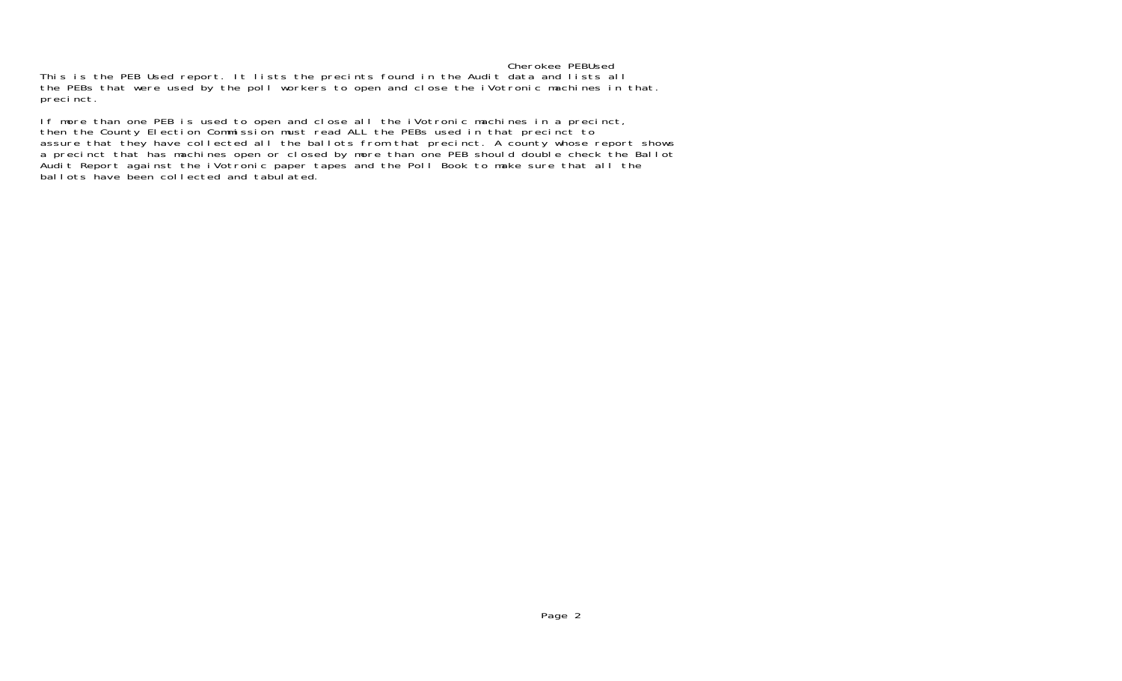### Cherokee PEBUsed

 This is the PEB Used report. It lists the precints found in the Audit data and lists all the PEBs that were used by the poll workers to open and close the iVotronic machines in that. precinct.

If more than one PEB is used to open and close all the iVotronic machines in a precinct, then the County Election Commission must read ALL the PEBs used in that precinct to assure that they have collected all the ballots from that precinct. A county whose report shows a precinct that has machines open or closed by more than one PEB should double check the Ballot Audit Report against the iVotronic paper tapes and the Poll Book to make sure that all the ballots have been collected and tabulated.